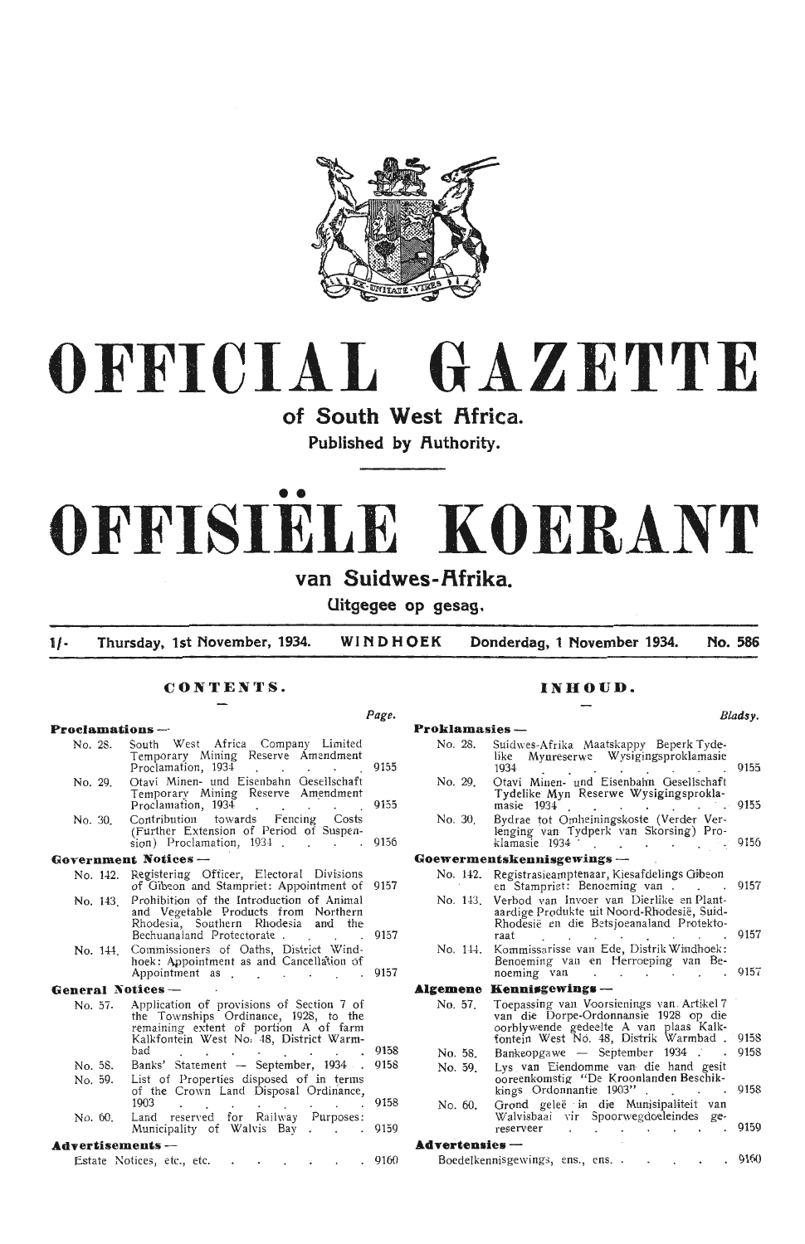

# **OFFICIAL GAZETTE**

of South West **Africa**.

Published by Authority.

# • • **OFFISIELE KOERANT**

### van Suidwes-Afrika.

**Uitgegee op gesag.** 

**1/- Thursday, 1st November, 1934. WINDHOEK Donderdag, 1 November 1934. No. 586** 

 $P =$ 

### **CONTENTS.**

|                         |                                                                                                                                                                        | rage. |
|-------------------------|------------------------------------------------------------------------------------------------------------------------------------------------------------------------|-------|
| Proclamations —         |                                                                                                                                                                        |       |
| No. 28.                 | South West Africa Company Limited<br>Temporary Mining Reserve Amendment<br>Proclamation, 1934<br>$\sim$ $\sim$ $\sim$<br>$\cdot$ $\cdot$                               | 9155  |
| No. 29.                 | Otavi Minen- und Eisenbahn Gesellschaft<br>Temporary Mining Reserve Amendment<br>Proclamation, 1934<br>$\mathbf{L} = \mathbf{L} \mathbf{L}$<br>$\ddot{\phantom{0}}$    | 9155  |
| No. 30.                 | Contribution towards Fencing Costs<br>(Further Extension of Period of Suspen-<br>sion) Proclamation, 1934                                                              | 9156  |
|                         | Government Notices --                                                                                                                                                  |       |
| No. 142.                | Registering Officer, Electoral Divisions<br>of Gibeon and Stampriet: Appointment of                                                                                    | 9157  |
| No. 143                 | Prohibition of the Introduction of Animal<br>and Vegetable Products from Northern<br>Rhodesia, Southern Rhodesia and the<br>Bechuanaland Protectorate                  | 9157  |
| No. 144.                | Commissioners of Oaths, District Wind-<br>hoek: Appointment as and Cancellation of<br>Appointment as<br>$\mathbf{r}$                                                   | 9157  |
| General Notices —       |                                                                                                                                                                        |       |
| No. 57.                 | Application of provisions of Section 7 of<br>the Townships Ordinance, 1928, to the<br>remaining extent of portion A of farm<br>Kalkfontein West No. 48, District Warm- |       |
|                         | bad<br><b>Contract Contract</b>                                                                                                                                        | 9158  |
| No. 58.                 | Banks' Statement - September, 1934.                                                                                                                                    | 9158  |
| No. 59.                 | List of Properties disposed of in terms<br>of the Crown Land Disposal Ordinance,<br>1903<br>$\sim$                                                                     | 9158  |
| No. 60.                 | Land reserved for Railway Purposes:<br>Municipality of Walvis Bay                                                                                                      | 9159  |
| <b>Advertisements</b> — |                                                                                                                                                                        |       |
|                         | Estate Notices, etc., etc.                                                                                                                                             | 9160  |

### **INHOUD.**

*Bladsy.*  **Proklamasies**<br>No. 28. Suid Suidwes-Afrika Maatskappy Beperk Tyde<br>like Mynreserwe Wysigingsproklamasi like Mynreserwe Wysigingsproklamasie<br>1934  $1934$  . . . . . . . . . 9155 No. 29. Otavi Minen- und Eisenbahn Gesellschaft Tydelike Myn Reserwe Wysigingsprokla-<br>masie 1934 masie 1934 9155 No. 30. Bydrae tot Omheiningskoste (Verder Verlenging van Tydperk van Skorsing) Proklamasie 1934 · · · · · · · 9156 **Goewermentskennisgewings** - No. 142. Registrasieamptenaar, Kiesafdelings Gibeon<br>en Stampriet: Benoeming van . . . . 9157<br>No. 143. Verbod van Invoer van Dierlike en Plant-No. 143. Verbod van Invoer van Dierlike en Plantaardige Produkte uit Noord-Rhodesië, Suid-Rhodesie en die Betsjoeanaland Protektoraat (19157) No. 144. **Algemene Kennisgewings** No. 57. No. 58. No. 59. No. 60. Kommissarisse van Ede, Distrik Wimdhoek: Benoeming van en Herroeping van Benoeming van Toepassing van Voorsienings van Artikel 7 van die Dorpe-Ordonnansie 1928 op die oorblywende gedeelte A van plaas Kalkforitein West No. 48, Distrik Warmbad .  $Bankeopgawe$  - September 1934 Lys van Eiendomme van die hand gesi ooreenkomstig "De Kroonlanden Beschikkings Ordonnantie 1903" . Grond geleë in die Munisipaliteit van Walvisbaai vir Spoorwegdoeleindes ge-<br>reserveer **Advertensies** Boedelkennisgewings, ens., ens.  $015$  $9158$ 015  $.0158$  $015$  $916$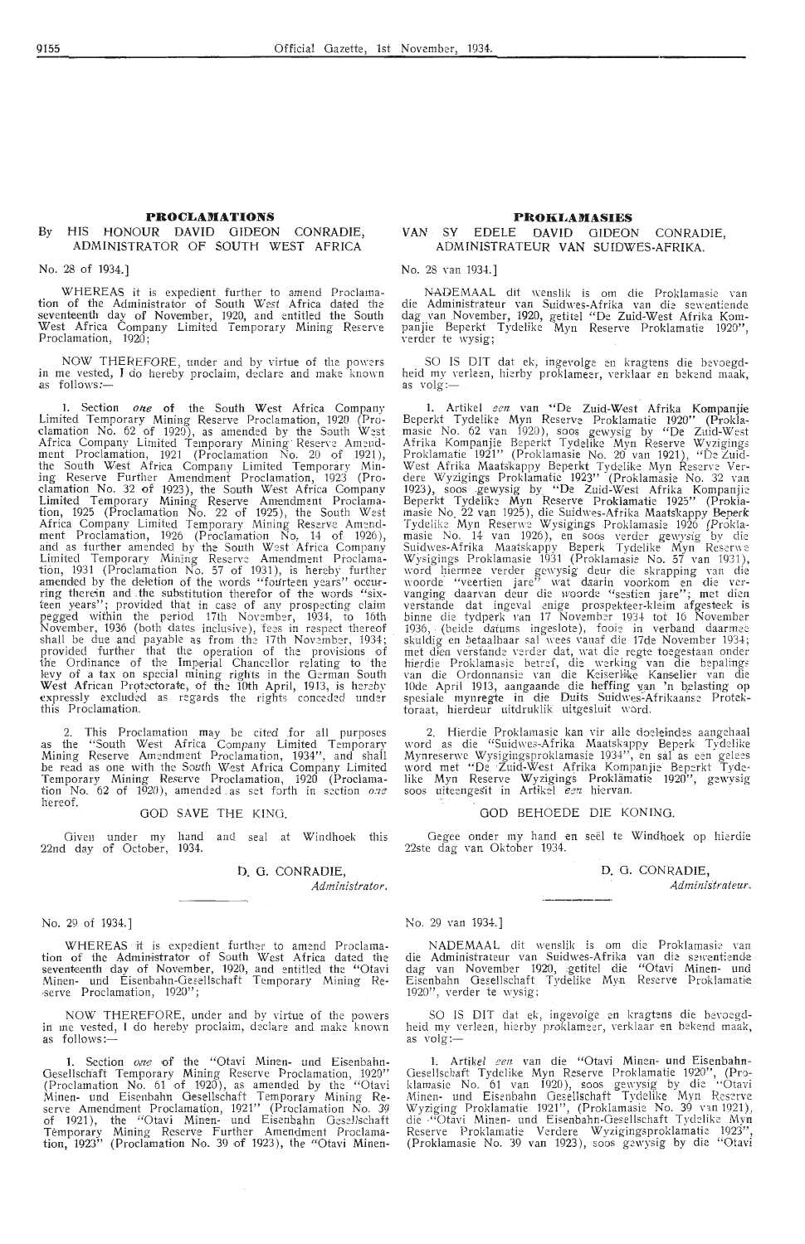### **PROCLAMATIONS**

### By HIS HONOUR DAVID GIDEON CONRADIE, ADMINISTRATOR OF SOUTH WEST AFRICA

### No. 28 of 1934.]

WHEREAS it is expedient further to amend Proclamation of the Administrator of South West Africa dated the seventeenth day of November, 1920, and entitled the South West Africa Company Limited Temporary Mining Reserve<br>Proclamation, 1920;

NOW THEREFORE, under and by virtue of the powers<br>ae vested. I do hereby proclaim, declare and make known in me vested, I do hereby proclaim, declare and make as follows:-

1. Section *one* of the South West Africa Company Limited Temporary Mining Reserve Proclamation, 1920 (Pro-<br>clamation No. 62 of 1920), as amended by the South West Africa Company Limited Temporary Mining Reserve Amend-ment Proclamation, 1921 (Proclamation No. 20 of 1921 ), the South West Africa Company Limited Temporary Mining Reserve Further Amendment Proclamation, 1923 (Pro-<br>clamation No. 32 of 1923), the South West Africa Company Limited Temporary Mining Reserve Amendment Proclamation, 1925 (Proclamation No. 22 of 1925), the South West Africa Company Limited Temporary Mining Reserve Amend-<br>ment Proclamation, 1926 (Proclamation No. 14 of 1926), and as further amended by the South West Africa Company Limited Temporary Mining Reserve Amendment Proclama-<br>tion, 1931 (Proclamation No. 57 of 1931), is hereby further amended by the deletion of the words "fourteen years" occur-<br>ring therein and the substitution therefor of the words "sixteen years"; provided that in case of any prospecting claim pegged within the period 17th November, 1934, to 16th November, 1936 (both dates inclusive), fees in respect thereof shall be due and payable as from the 17th November, 1934;<br>provided further that the operation of the provisions of the Ordinance of the Imperial Chancellor relating to the levy of a tax on special mining rights in the German South West African Protectorate, of the 10th April, 1913, is hereby expressly excluded as regards the rights conceded under this Proclamation.

2. This Proclamation may be cited .for all purposes as the "South West Africa Company Limited Temporary Mining Reserve Amendment Proclamation, 1934", and shall be read as one with the South West Africa Company Limited Temporary Mining Reserve Proclamation, 1920 (Proclama- tion No. 62 of 1920), amended . as set forth in s:cction *o.:ze*  hereof.

### OOD SAVE THE KING.

Given under my hand and seal at Windhoek this 22nd day of October, 1934.

### D. 0. CONRADIE,

*Administrator.* 

### No. 29 of 1934.]

WHEREAS it is expedient further to amend Proclamation of the Administrator of South West Africa dated the seventeenth day of November, 1920, and entitled the "Otavi Minen- und Eisenbahn-Gesellschaft Temporary Mining Re-<br>-serve Proclamation, 1920'';

NOW THEREFORE, under and by virtue of the powers in me vested, I do hereby proclaim, declare and make known as follows:—

Section one of the "Otavi Minen- und Eisenbahn Gesellschaft Temporary Mining Reserve Proclamation, 1920"<br>(Proclamation No. 61 of 1920), as amended by the "Otavi Minen- und Eisenbah'n Oesellschaft - Temporary Mining Re- serve Amendment Proclamation, 1921" (Proclamation No. 39 of 1921), the "Otavi Minen- und Eisenbahn Gesellschaft Temporary Mining Reserve Further Amendment Proclamation, 1923" (Proclamation No. 39 of 1923), the "Otavi Minen-

### **PROKLAMASIES**

### **VAN** SY EDELE DAVID GIDEON CONRADIE, ADMINISTRATEUR VAN SUIDWES-AFRIKA.

No. 28 van 1934.]

NADEMAAL dit wenslik is om die Proklamasie van<br>die Administrateur van Suidwes-Afrika van die sewentiende dag van November, 1920, getitel "De Zuid-West Afrika Kompanjie Beperkt Tydelike Myn Reserve Proklamatie 1920'',<br>verder te wysig;

SO IS DIT dat ek, ingevolge en kragtens die bevoegd-<br>heid my verleen, hierby proklameer, verklaar en bekend maak,<br>as volg:-

1. Artikel *een* van "De Zuid-West Afrika Kompanjie<br>Beperkt Tydelike Myn Reserve Proklamatie 1920" (Prokla-<br>masie No. 62 van 1920), soos gewysig by "De Zuid-West Afrika Kompanjie Beperkt Tydelike Myn Reserve Wyzigings Proklamatie 1921" (Proklamasie No. 20 van 1921), "De Luid-West Afrika Maatskappy Beperkt Tydelike Myn Reserve Verdere Wyzigings Proklamatic 1923" (Proklamasie No. 32 van<br>1923), soos gewysig by "De Zuid-West Afrika Kompanjie<br>Beperkt Tydelike Myn Reserve Proklamatie 1925" (Proklamasie No. 22 van 1925), die Suidwes-Afrika Maatskappy Bep Tydelike Myn Reserwe Wysigings Proklamasie 1926 (Proklamasie No. 14 van 1926), en soos verder gewysig by die<br>Suidwes-Afrika Maatskappy Beperk Tydelike Myn Reserwe<br>Wysigings Proklamasie 1931 (Proklamasie No. 57 van 1931), word hiermee verder gewysig deur die skrapping van die<br>woorde "veertien jare" wat daarin voorkom en die ver-<br>vanging daarvan deur die woorde "sestien jare"; met dien verstande dat ingeval enige prospekteer-kleim afgesteek is binne die tydperk van 17 November 1934 tot 16 November 1936, (beide datums ingeslote), fooie in verband daarmee<br>skuldig en betaalbaar sal wees vanaf die 17de November 1934; met dien verstande verder dat, wat die regte toegestaan onder hierdie Proklamasie betref, die werking van die bepalings van die Ordonnansie van die Keiserlike Kanselier van die 10de April 1913, aangaande die heffing van 'n belasting op spesiale mynregte in die Duits Suidwes-Afrikaanse Protektoraat, hierdeur uitdruklik uitgesluit word.

2. Hierdie Proklamasie kan vir alle doeleindes aangehaal word as die "Suidwes-Afrika Maatskappy Beperk Tydelike<br>Mynreserwe Wysigingsproklamasie 1934", en sal as een gelees<br>word met "De Zuid-West Afrika Kompanjie Beperkt Tydelike Myn Reserve Wyzigings Proklämatie 1920", gewysig<br>soos uiteengesit in Artikel *een* hiervan.

### 000 BEHOEDE DIE KONING.

Oegee onder my hand en see! te Windhoek op hierdie 22ste dag van Oktober 1934.

> D. 0. CONRADIE, *Administrateur.*

### No. 29 van 1934.]

NADEMAAL dit wenslik is om die Proklamasie van die Administrateur van Suidwes-Afrika van die sewentiende dag van November 1920, getitel die "Otavi Minen- und Eisenbahn Gesellschaft Tydelike Myn Reserve Proklamatie 1920", verder te wysig;

SO IS DIT dat ek, ingevolge en kragtens die bevoegdheid my verleen, hierby proklameer, verklaar en bekend maak, as volg:—

1. Artikel *een* van die "Otavi Minen- und Eisenbahn Gesellschaft Tydelike Myn Reserve Proklamatie 1920", (Pro-<br>indianasie No. 61 van 1920), soos gewysig by die "Otavi Minen- und Eisenbahn Oesellschaft Tydelike Myn Reserve<br>Wyziging Proklamatie 1921'', (Proklamasie No. 39 van 1921),<br>die •"Otavi Minen- und Eisenbahn-Oesellschaft Tydelike Myn Reserve Proklamatie Verdere Wyzigingsproklamatie 1923", (Proklamasie No. 39 van 1923), soos gewysig by die "Otavi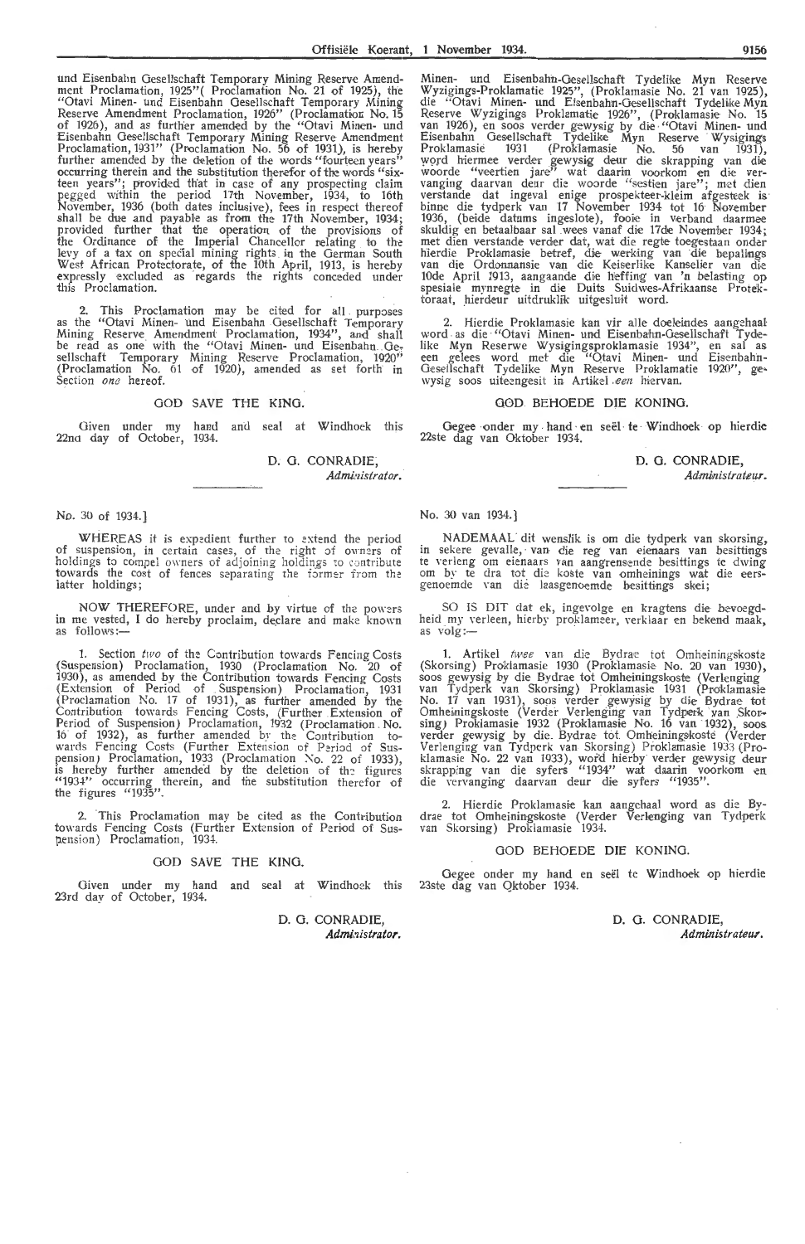und Eisenbahn Gesellschaft Temporary Mining Reserve Amend-<br>ment Proclamation, 1925''( Proclamation No. 21 of 1925), the "Otavi Minen- und Eisenbahn Gesellschaft Temporary Mining Reserve Amendment Proclamation, 1926'' (Proclamation No. 15 of 1926 ), and as further amended by the "Otavi Minen- und Eisenbahn Gesellschaft Temporary Mining Reserve Amendment<br>Proclamation, 1931'' (Proclamation No. 56 of 1931), is hereby further amended by the deletion of the words "fourteen years" occurring therein and the substitution therefor of the words "sixteen years''; provided that in case of any prospecting claim pegged within the period \_17th November, 1934, to 16th November, 1936 (both dates inclusive), fees in respect thereof shall be due and payable as from the 17th November, 1934; provided further that the operation of the provisions of the Ordinance of the Imperial Chancellor relating to the levy of a tax on special mining rights in the German South<br>West African Protectorate, of the 10th April, 1913, is hereby expressly excluded as regards the rights conceded under<br>this Proclamation.

2. This Proclamation may be cited for all purposes as the "Otavi Minen- und Eisenbahn Gesellschaft Temporary Mining Reserve Amendment Proclamation, 1934", and shall be read as one with the "Otavi Minen- und Eisenbahn Gesellschaft Temporary Mining Reserve Proclamation, 1920''<br>(Proclamation No. 61 of 1920), amended as set forth in Section *one* hereof.

### GOD SAVE THE KING.

Given under my hand and seal at Windhoek this 22na day of October, 1934.

> D. G. CONRADIE, *Admiaistrator.*

### No. 30 of 1934.]

WHEREAS it is expedient further to extend the period of suspension, in certain cases, of the right of owners of holdings to compel owners of adjoining holdings to contribute towards the cost of fences separating the former from the<br>latter holdings;

NOW THEREFORE, under and by virtue of the powers in me vested, I do hereby proclaim, declare and make known<br>as follows:—

1. Section *two* of the Contribution towards Fencing Costs (Suspension) Proclamation, 1930 (Proclamation No. 20 of 1930), as amended by the Contribution towards Fencing Costs (Extension of Period of Suspension) Proclamation, 1931 (Proclamation !\o. 17 of 1931), as further amended by the Contribution towards Fencing Costs, (Further Extension of Period of Suspension) Proclamation, 1932 (Proclamation No. 16 of 1932), as further amended by the Contribution towards Fencing Costs (Further Extension of Period of Suspension) Proclamation, 1933 (Proclamation No. 22 of 1933), is hereby further amended by the deletion of the figures "1934" occurring therein, and the substitution therefor of the figures "1935".

2. This Proclamation may be cited as the Contribution towards Fencing Costs (Further Extension of Period of Suspension) Proclamation, 1934.

### GOD SAVE THE KING.

Given under my hand and seal at Windhoek this 23rd day of October, 1934.

> D. G. CONRADIE, Administrator.

Minen- und Eisenbahn-Gesellschaft Tydelike Myn Reserve Wyzigings-Proklamatie 1925", (Proklamasie No. 21 van 1925 ), die "Otavi Minen- und Eisenbahn-Oesellschaft Tydelbke Myn Reserve Wyzigings Proklamatie 1926'', (Proklamasie No. 15<br>van 1926), en soos verder gewysig by die "Otavi Minen- und Eisenbahn Gesellschaft Tydelike Myn Reserve Wysigings Proklamasie 1931 (Proklamasie No. 56 van 1931),<br>word hiermee verder gewysig deur die skrapping van die woorde "veertien jare" wat daarin voorkom en die vervanging daarvan deur die woorde "sestien jare"; met dien verstande dat ingeval enige prospekteer-kleim afgesteek is: binne die tydperk van 17 November 1934 tot 16 November 1936, (beide datums ingeslote), fooie in verband daarmee skuldig en betaalbaar sal wees vanaf die 17de November 1934; met dien verstande verder dat, wat die regte toegestaan onder hierdie Proklamasie betref, die werking van die bepalings van die Ordonnansie van die Keiserlike Kanselier van die 10de April 1913, aangaande die heffing van 'n belasting op spesiale mynregte in die Duits Suidwes-Afrikaanse Protektoraat, hierdeur uitdruklik uitgesluit word.

2. Hierdie Proklamasie kan vir alle doeleindes aangehaal word as die "Otavi Minen- und Eisenbahn-Gesellschaft Tydelike Myn Reserwe Wysigingsproklamasie 1934", en sal as een gelees word met die "Otavi Minen- und Eisenbahn-Gesellschaft Tydelike Myn Reserve Proklamatie 1920", gewysig soos uiteengesit in Artikel *een* hiervan.

### GOD BEHOEDE DIE KONING.

Gegee onder my . hand · en seel · te Windhoek op hierdie 22ste dag van Oktober 1934.

> D. G. CONRADIE, *Administrateur.*

### No. 30 van 1934.]

NADEMAAL dit wenslik is om die tydperk van skorsing, in sekere gevalle, van die reg van eienaars van besittings<br>te verleng om eienaars van aangrensende besittings te dwing<br>om by te dra tot die koste van omheinings wat die eersgenoemde van die laasgenoemde besittings skei;

SO IS DIT dat ek, ingevolge en kragtens die bevoegdheid my verleen, hierby proklameer, verklaar en bekend maak, as volg:-

1. Artikel twee van die Bydrae tot Omheiningskoste (Skorsing) Proklamasie 1930 (Proklamasie No. 20 van 1930), soos gewysig by die Bydrae tot Omheiningskoste (Verlenging van Tydperk van Skorsing) Proklamasje 1931 (Proklamasie No. 17 van 1931), soos verder gewysig by die Bydrae tot Omheiningskoste (Verder Verlenging van Tydperk van Skorsing) Proklamasie 1932 (Proklamasie No. 16 van 1932), soos verder gewysig by die Bydrae tot Omheiningskoste (Verder Verlenging van Tydperk van Skorsing) Proklamasie 1933 (Proklamasie No. 22 van 1933), word hierby verder gewysig deur skrapping van die syfers "1934" wat daarin voorkom en die vervanging daarvan deur die syfers "1935".

2. Hierdie Proklamasie kan aangehaal word as die Bydrae tot Omheiningskoste (Verder Verlenging van Tydperk van Skorsing) Proklamasie 1934.

### GOD BEHOEDE DIE KONING.

Gegee onder my hand en seël te Windhoek op hierdie 23ste dag van Qktober 1934.

### D. G. CONRADIE, *Administrateur.*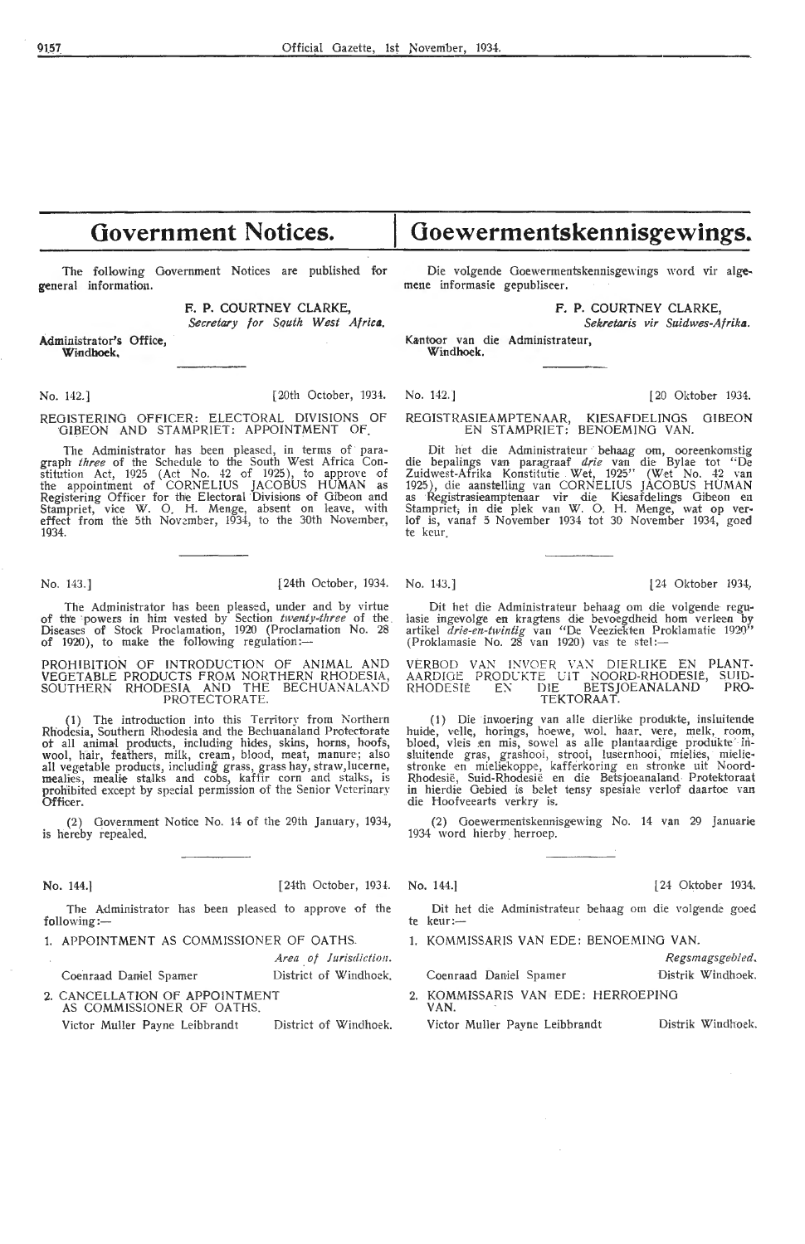## **Government Notices.**

The following Government Notices are published for general information.

> F. P. COURTNEY CLARKE, Secretary for Squth West Africa.

Administrator's Office, **Windhoek,** 

No. 142.] [20th October, 1934. No. 142.] [20 Oktober 1934.

The Administrator has been pleased, in terms of paragraph *three* of the Schedule to the South West Africa Constitution Act, 1925 (Act No. 42 of 1925), to approve of the appointment of CORNELIUS JACOBUS HUMAN as Registering Offioer for the Electoral Divisions of Oibeon and Stampriet, vice W. O. H. Menge, absent on leave, with effect from the 5th November, 1934, to the 30th November, 1934.

No. 143.] **[24th October, 1934.** No. 143.] **[24th October 1934.** No. 143.] **[24 Oktober 1934.** 

The Administrator has been pleased, under and by virtue of the powers in him vested by Section *twenty-three* of the Diseases of Stock Proclamation, 1920 (Proclamation No. 28 of 1920), to make the following regulation:-

PROHIBITION OF INTRODUCTION OF ANIMAL AND VEGETABLE PRODUCTS FROM NORTHERN RHODESIA, SOUTHERN RHODESIA AND THE BECHUANALAND PROTECTORATE.

(1) The introduction into this Territory from Northern Rhodesia, Southern Rhodesia and the Bechuanaland Protectorate ot all animal products, including hides, skins, horns, hoofs, wool, hair, feathers, milk, cream, blood, meat, manure; also all vegetable products, including grass, grass hay, straw, lucerne, mealies, mealie stalks and cobs, kaffir corn and stalks, is prohibited except by special permission of the Senior Veterinary pro.<br>Officer.

(2) Government Notice No. 14 of the 29th January, 1934, is hereby repealed.

**No.** 144.] [24th October, 193!. No. 144.] [ 24 Oktober 1934.

Area of Jurisdiction.

The Administrator has been pleased to approve of the

Coenraad Daniel Spamer

District of Windhoek.

2. CANCELLATION OF APPOINTMENT AS COMMISSIONER OF OATHS.

Victor Muller Payne Leibbrandt District of Windhoek.

Die volgende Ooewermentskennisgewings word vir alge- mene informasie gepubliseer.

**Goewermentskennisgewings~** 

F. P. COURTNEY CLARKE,

*Sekretaris vir Suidwes-Afrika.* 

Kantoor van die Administrateur, **Windhoek.** 

REGISTERING OFFICER: ELECTORAL DIVISIONS OF REGISTRASIEAMPTENAAR, KIESAFDELINGS GIBEON GIBEON GUNE GIBEON GIBEON REGISTRASIEAMPTENAAR, KIESAFDELINGS EN STAMPRIET: BENOEMING VAN.

> Dit het die Administrateur behaag om, ooreenkomstig die bepalings van paragraaf drie van die Bylae tot "De Zuidwest-Afrika Konstitutie Wet, 1925" (Wet No. 42 van 1925), die aanstelling van CORNELIUS JACOBUS HUMAN<br>as Registrasieamptenaar vir die Kiesafdelings Gibeon en Stampriet; in die plek van W. O. H. Menge, wat op verlof is, vanaf 5 November 1934 tot 30 November 1934, goed te keur

Dit het die Administrateur behaag om die volgende regulasie ingevolge en kragtens die bevoegdheid hom verleen by artikel *drie-en-twintig* van "De Veeziekten Proklamatie 1920<sup>3</sup>"<br>(Proklamasie No. 28 van 1920) vas te stel:—

VERBOD VAN INVOER VAN DIERLIKE EN PLANT-AARDIGE PRODUKTE UIT NOORD-RHODESIË, SUID-RHODESIË EN DIE BETSJOEANALAND PRO-TEKTORAAT.

( 1) Die invoering van alle dierlike produkte, insluitende huide, velle, horings, hoewe, wol. haar. vere, melk, room,<br>bloed, vleis en mis, sowel as alle plantaardige produkte in-<br>sluitende gras, grashooi, strooi, lusernhooi, mielies, mieliestronke en mieliekoppe, kafferkoring en stronke uit Noord-Rhodesië, Suid-Rhodesië en die Betsjoeanaland Protektoraat in hierdie Gebied is belet tensy spesiale verlof daartoe van die Hoofveearts verkry is.

(2) Goewermentskennisgewing No. 14 van 29 Januarie 1934 word hierby herroep.

The Administrator has been pleased to approve of the Dit het die Administrateur behaag om die volgende goed.<br>
te keur:--

1. APPOINTMENT AS COMMISSIONER OF OATHS. 1. KOMMISSARIS VAN EDE: BENOEMING VAN.

|                                            | Regsmagsgebied.   |
|--------------------------------------------|-------------------|
| Coenraad Daniel Spamer                     | Distrik Windhoek. |
| 2. KOMMISSARIS VAN EDE: HERROEPING<br>VAN. |                   |

Victor Muller Payne Leibbrandt Distrik Windhoek.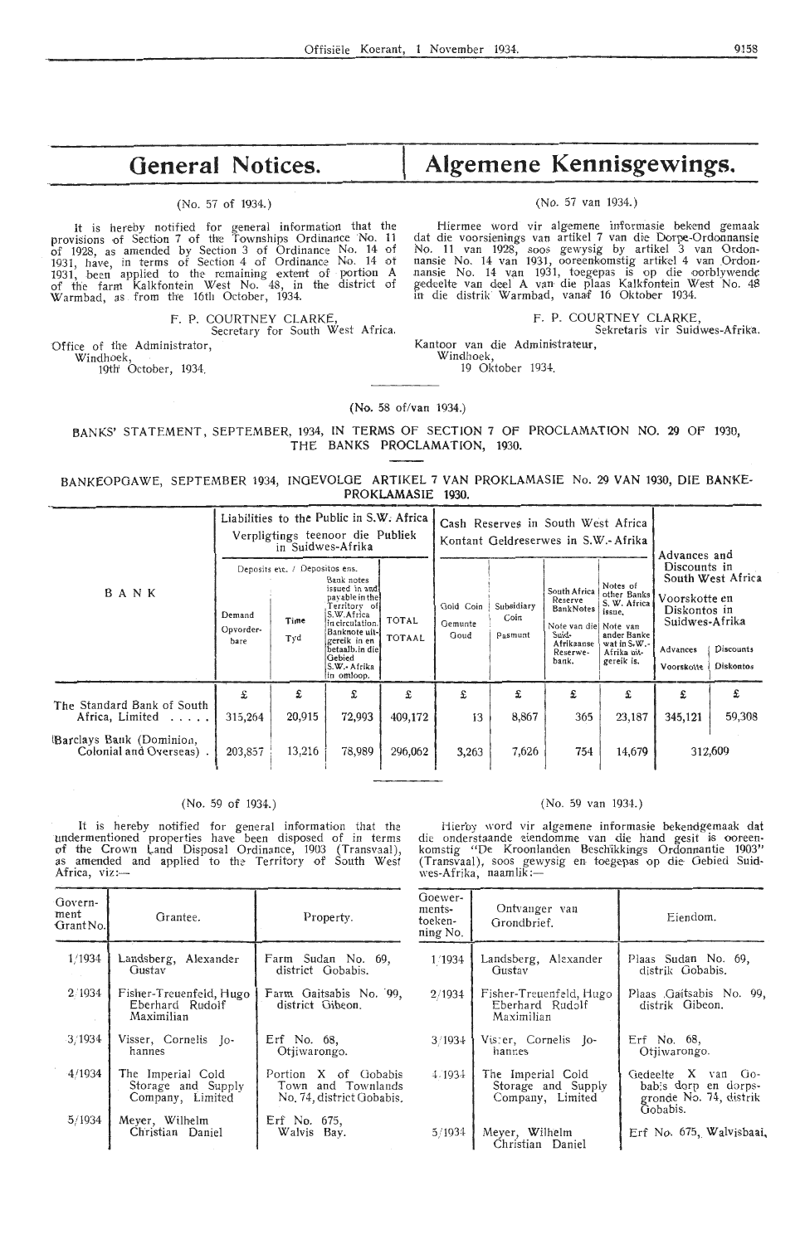## **General Notices.**

### (No. 57 of 1934.)

It is hereby notified for general information that the provisions of Section 7 of the Townships Ordinance No. 11 of 1928, as amended by Section 3 of Ordinance No. 14 of 1931, have, in terms of Section 4 of Ordinance No. 14 ot 1931, been applied to the remaining extent of portion A of the farm Kalkfontein West No. 48, in the district of Warmbad, as . from th!e 16th October, 1934.

> F. P. COURTNEY CLARKE Secretary for South West Africa.

Office of the Administrator,

Windhoek, 19th' October, 1934.

# **Algemene Kennisgewings.**

### (No. 57 van 1934.)

Hiermee word vir algemene informasie bekend gemaak dat die voorsienings van artikel 7 van die Dorpe-Ordonnansie No. 11 van 1928, soos gewysig by artikel 3 van Ordon• nansie No. 14 van 1931, ooreenkomstig artikel 4 van Ordon-<br>nansie No. 14 van 1931, toegepas is op die oorblywende gedeelte van dee! A van die plaas Kalkfontein West No. 48 in die distrik Warmbad, vanaf 16 Oktober 1934.

F. P. COURTNEY CLARKE,

Sekretaris vir Suidwes-Afrika. Kantoor van die Administrateur,

Windhoek,

19 Oktober 1934.

(No. 58 of/van 1934.)

BANKS' STATEMENT, SEPTEMBER, 1934, IN TERMS OF SECTION 7 OF PROCLAMATION NO. 29 OF 1930, THE BANKS PROCLAMATION, 1930.

### BANKEOPGAWE, SEPTEMBER 1934, INGEVOLGE ARTIKEL 7 VAN PROKLAMASIE No. 29 VAN 1930, DIE BANKE-**PROKLAMASIE 1930.**

|                                                     | Liabilities to the Public in S.W. Africa<br>Verpligtings teenoor die Publiek<br>in Suidwes-Afrika |             |                                                                                                                                                                                            |                               | Cash Reserves in South West Africa<br>Kontant Geldreserwes in S.W.- Afrika |                                                                                                                                                                                                                                                                                                                                                                                                   |                               |             |              |             |
|-----------------------------------------------------|---------------------------------------------------------------------------------------------------|-------------|--------------------------------------------------------------------------------------------------------------------------------------------------------------------------------------------|-------------------------------|----------------------------------------------------------------------------|---------------------------------------------------------------------------------------------------------------------------------------------------------------------------------------------------------------------------------------------------------------------------------------------------------------------------------------------------------------------------------------------------|-------------------------------|-------------|--------------|-------------|
| BANK                                                | Deposits etc. / Depositos ens.<br>Demand<br>Time<br>Opvorder-<br>Tyd<br>bare                      |             | Bank notes<br>issued in and<br>payable in the<br>Territory of<br>S.W.Africa<br>in circulation.<br>Banknote uit-<br>gereik in en<br>betaalb.in diel<br>Gebied<br>S.W.- Afrika<br>in omloop. | <b>TOTAL</b><br><b>TOTAAL</b> | Gold Coin<br>Gemunte<br>Goud                                               | Advances and<br>Discounts in<br>South West Africa<br>Notes of<br>South Africa<br>other Banks<br>Voorskotte en<br>Reserve<br>S. W. Africa<br>Subsidiary<br>BankNotes<br>Diskontos in<br>issue,<br>Coin<br>Suidwes-Afrika<br>Note van diel Note van<br>Suid-<br>ander Banke<br>Pasmunt<br>wat in $S.W.$ -<br>Afrikaanse<br>Advances<br>Afrika uit-<br>Reserwe-<br>gereik is.<br>bank.<br>Voorskotte | Discounts<br><b>Diskontos</b> |             |              |             |
| The Standard Bank of South<br>Africa, Limited       | £<br>315,264                                                                                      | £<br>20,915 | £<br>72,993                                                                                                                                                                                | £<br>409,172                  | £<br>13                                                                    | £<br>8,867                                                                                                                                                                                                                                                                                                                                                                                        | £<br>365                      | £<br>23,187 | £<br>345,121 | £<br>59,308 |
| Barclays Bank (Dominion,<br>Colonial and Overseas). | 203,857                                                                                           | 13,216      | 78,989                                                                                                                                                                                     | 296,062                       | 3,263                                                                      | 7,626                                                                                                                                                                                                                                                                                                                                                                                             | 754                           | 14,679      |              | 312,609     |

### (No. 59 of 1934.)

It is hereby notified for general information that the undermentioned properties have been disposed of in terms of the Crown Land Disposal Ordinance, 1903 (Transvaal),<br>as amended and applied to the Territory of South West Africa, viz:-

(No. 59 van 1934.)

Hierby word vir algemene informasie bekendgemaak dat die onderstaande eiendomme van die hand gesit is ooreen-<br>komstig "De Kroonlanden Beschikkings Ordonnantie 1903" (Transvaal), soos gewysig en, foegepas op die· Gebied Suidwes-Afrika, naamlik :-

| Govern-<br>ment<br>Grant No. | Grantee.                                                    | Property.                                                               | Goewer-<br>ments-<br>toeken-<br>ning No. | Ontvanger van<br>Grondbrief.                                | Eiendom.                                                             |
|------------------------------|-------------------------------------------------------------|-------------------------------------------------------------------------|------------------------------------------|-------------------------------------------------------------|----------------------------------------------------------------------|
| 1/1934                       | Landsberg, Alexander<br>Gustav                              | Farm Sudan No. 69,<br>district Gobabis.                                 | 1/1934                                   | Landsberg, Alexander<br>Gustav                              | Plaas Sudan No. 69,<br>distrik Gobabis.                              |
| 2/1934                       | Fisher-Treuenfeld, Hugo<br>Eberhard Rudolf<br>Maximilian    | Farm Gaitsabis No. 99,<br>district Gibeon.                              | 2/1934                                   | Fisher-Treuenfeld, Hugo<br>Eberhard Rudolf<br>Maximilian    | Plaas Gaitsabis No. 99,<br>distrik Gibeon.                           |
| 3/1934                       | Visser, Cornelis Jo-<br>hannes                              | Erf No. 68,<br>Otiiwarongo.                                             | 3/1934                                   | Vister, Cornelis Jo-<br>hannes                              | Erf No. 68,<br>Otjiwarongo.                                          |
| 4/1934                       | The Imperial Cold<br>Storage and Supply<br>Company, Limited | Portion X of Gobabis<br>Town and Townlands<br>No. 74, district Gobabis. | 4.1934                                   | The Imperial Cold<br>Storage and Supply<br>Company, Limited | Gedeelte X van Go-<br>bab's dorp en dorps-<br>gronde No. 74, distrik |
| 5/1934                       | Meyer, Wilhelm<br>Christian Daniel                          | Erf No. 675,<br>Walvis Bay.                                             | 5/1934                                   | Meyer, Wilhelm<br>Christian Daniel                          | Gobabis.<br>Erf No. 675, Walvisbaai,                                 |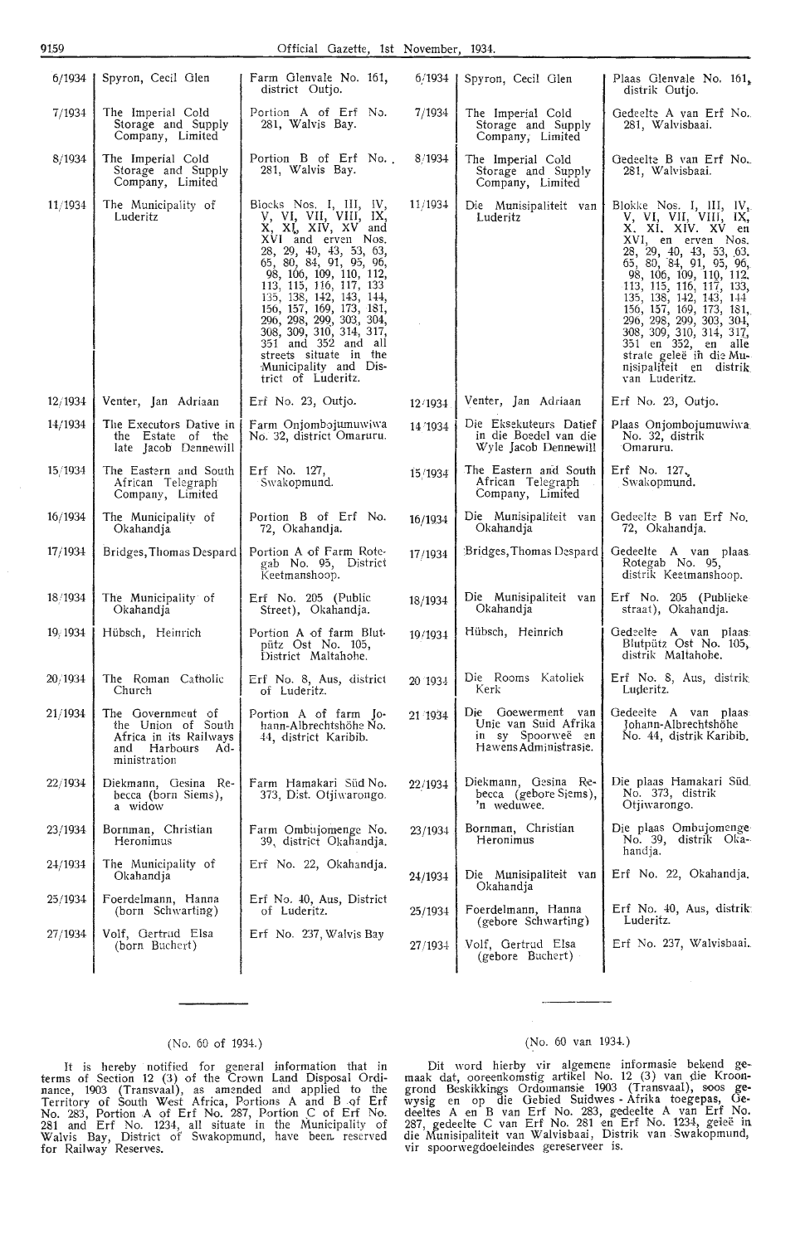### 91.59 Official Gazette, 1st November, 1934.

| 6/1934   | Spyron, Cecil Glen                                                                                       | Farm Glenvale No. 161,<br>district Outjo.                                                                                                                                                                                                                                                                                                                                                                                | 6/1934  | Spyron, Cecil Glen                                                                       | Plaas Glenvale No. 161,<br>distrik Outjo.                                                                                                                                                                                                                                                                                                                                                                                               |
|----------|----------------------------------------------------------------------------------------------------------|--------------------------------------------------------------------------------------------------------------------------------------------------------------------------------------------------------------------------------------------------------------------------------------------------------------------------------------------------------------------------------------------------------------------------|---------|------------------------------------------------------------------------------------------|-----------------------------------------------------------------------------------------------------------------------------------------------------------------------------------------------------------------------------------------------------------------------------------------------------------------------------------------------------------------------------------------------------------------------------------------|
| 7/1934   | The Imperial Cold<br>Storage and Supply<br>Company, Limited                                              | Portion A of Erf No.<br>281, Walvis Bay.                                                                                                                                                                                                                                                                                                                                                                                 | 7/1934  | The Imperial Cold<br>Storage and Supply<br>Company, Limited                              | Gedeelte A van Erf No.<br>281, Walvisbaai.                                                                                                                                                                                                                                                                                                                                                                                              |
| 8/1934   | The Imperial Cold<br>Storage and Supply<br>Company, Limited                                              | Portion B of Erf No.<br>281, Walvis Bay.                                                                                                                                                                                                                                                                                                                                                                                 | 8/1934  | The Imperial Cold<br>Storage and Supply<br>Company, Limited                              | Gedeelte B van Erf No.<br>281, Walvisbaai.                                                                                                                                                                                                                                                                                                                                                                                              |
| 11/1934  | The Municipality of<br>Luderitz                                                                          | Blocks Nos. I, III, IV,<br>y, yi, vii, viii, ix,<br>X, XI, XIV, XV and<br>XVI and erven Nos.<br>28, 29, 40, 43, 53, 63,<br>65, 80, 84, 91, 95, 96,<br>98, 106, 109, 110, 112,<br>113, 115, 116, 117, 133<br>135, 138, 142, 143, 144,<br>156, 157, 169, 173, 181,<br>296, 298, 299, 303, 304,<br>308, 309, 310, 314, 317,<br>351 and 352 and all<br>streets situate in the<br>Municipality and Dis-<br>trict of Luderitz. | 11/1934 | Die Munisipaliteit van<br>Luderitz                                                       | Blokke Nos. I, III, IV <sub>3</sub> .<br>V, VI, VIII, VIII, IX,<br>X. XI. XIV. XV en<br>XVI, en erven Nos.<br>28, 29, 40, 43, 53, 63,<br>65, 80, 84, 91, 95, 96,<br>98, 106, 109, 110, 112,<br>113, 115, 116, 117, 133,<br>135, 138, 142, 143, 144<br>156, 157, 169, 173, 181,<br>296, 298, 299, 303, 304,<br>308, 309, 310, 314, 317,<br>351 en 352, en<br>alle<br>strate geleë in die Mu-<br>nisipaliteit en distrik<br>van Luderitz. |
| 12/1934  | Venter, Jan Adriaan                                                                                      | Erf No. 23, Outjo.                                                                                                                                                                                                                                                                                                                                                                                                       | 12/1934 | Venter, Jan Adriaan                                                                      | Erf No. 23, Outjo.                                                                                                                                                                                                                                                                                                                                                                                                                      |
| 14/1934  | The Executors Dative in<br>the Estate of the<br>late Jacob Dennewill                                     | Farm Onjombojumuwiwa<br>No. 32, district Omaruru.                                                                                                                                                                                                                                                                                                                                                                        | 14/1934 | Die Eksekuteurs Datief<br>in die Boedel van die<br>Wyle Jacob Dennewill                  | Plaas Onjombojumuwiwa<br>No. 32, distrik<br>Omaruru.                                                                                                                                                                                                                                                                                                                                                                                    |
| 15/1934  | The Eastern and South<br>African Telegraph<br>Company, Limited                                           | Erf No. 127,<br>Swakopmund.                                                                                                                                                                                                                                                                                                                                                                                              | 15/1934 | The Eastern and South<br>African Telegraph<br>Company, Limited                           | Erf. No. $127$<br>Swakopmund.                                                                                                                                                                                                                                                                                                                                                                                                           |
| 16/1934  | The Municipality of<br>Okahandja                                                                         | Portion B of Erf No.<br>72, Okahandja.                                                                                                                                                                                                                                                                                                                                                                                   | 16/1934 | Die Munisipaliteit van<br>Okahandja                                                      | Gedeelte B van Erf No.<br>72, Okahandja.                                                                                                                                                                                                                                                                                                                                                                                                |
| 17/1934  | Bridges, Thomas Despard                                                                                  | Portion A of Farm Rote-<br>gab No. 95, District<br>Keetmanshoop.                                                                                                                                                                                                                                                                                                                                                         | 17/1934 | Bridges, Thomas Despard                                                                  | Gedeelte A van plaas.<br>Rotegab No. 95,<br>distrik Keetmanshoop.                                                                                                                                                                                                                                                                                                                                                                       |
| 18/1934  | The Municipality of<br>Okahandja                                                                         | $Erf$ No. 205 (Public<br>Street), Okahandja.                                                                                                                                                                                                                                                                                                                                                                             | 18/1934 | Die Munisipaliteit van<br>Okahandja                                                      | Erf No. 205 (Publieke<br>straat), Okahandja.                                                                                                                                                                                                                                                                                                                                                                                            |
| 19, 1934 | Hübsch, Heinrich                                                                                         | Portion A of farm Blut-<br>pütz Ost No. 105,<br>District Maltahohe.                                                                                                                                                                                                                                                                                                                                                      | 19/1934 | Hübsch, Heinrich                                                                         | Gedeelte A van plaas:<br>Blutpütz Ost No. 105,<br>distrik Maltahohe.                                                                                                                                                                                                                                                                                                                                                                    |
| 20/1934  | The Roman Catholic<br>Church                                                                             | Erf No. 8, Aus, district<br>of Luderitz.                                                                                                                                                                                                                                                                                                                                                                                 | 20 1934 | Die Rooms Katoliek<br>Kerk                                                               | Erf No. 8, Aus, distrik<br>Luderitz.                                                                                                                                                                                                                                                                                                                                                                                                    |
| 21/1934  | The Government of<br>the Union of South<br>Africa in its Railways<br>and Harbours<br>Ad-<br>ministration | Portion A of farm Jo-<br>hann-Albrechtshöhe No.<br>44, district Karibib.                                                                                                                                                                                                                                                                                                                                                 | 21 1934 | Die Goewerment van<br>Unie van Suid Afrika<br>in sy Spoorweë en<br>Hawens Administrasie. | Gedeelte A van plaas:<br>Johann-Albrechtshöhe<br>No. 44, distrik Karibib.                                                                                                                                                                                                                                                                                                                                                               |
| 22/1934  | Diekmann, Gesina Re-<br>becca (born Siems),<br>a widow                                                   | Farm Hamakari Süd No.<br>373, Dist. Otjiwarongo.                                                                                                                                                                                                                                                                                                                                                                         | 22/1934 | Diekmann, Gesina Re-<br>becca (gebore Siems),<br>'n weduwee.                             | Die plaas Hamakari Süd.<br>No. 373, distrik<br>Otiiwarongo.                                                                                                                                                                                                                                                                                                                                                                             |
| 23/1934  | Bornman, Christian<br>Heronimus                                                                          | Farm Ombujomenge No.<br>39, district Okahandja.                                                                                                                                                                                                                                                                                                                                                                          | 23/1934 | Bornman, Christian<br>Heronimus                                                          | Die plaas Ombujomenge<br>No. 39, distrik Oka-<br>handja.                                                                                                                                                                                                                                                                                                                                                                                |
| 24/1934  | The Municipality of<br>Okahandja                                                                         | Erf No. 22, Okahandja.                                                                                                                                                                                                                                                                                                                                                                                                   | 24/1934 | Die Munisipaliteit van<br>Okahandja                                                      | Erf No. 22, Okahandja.                                                                                                                                                                                                                                                                                                                                                                                                                  |
| 25/1934  | Foerdelmann, Hanna<br>(born Schwarting)                                                                  | Erf No. 40, Aus, District<br>of Luderitz.                                                                                                                                                                                                                                                                                                                                                                                | 25/1934 | Foerdelmann, Hanna<br>(gebore Schwarting)                                                | Erf No. $40$ , Aus, distrik:<br>Luderitz.                                                                                                                                                                                                                                                                                                                                                                                               |
| 27/1934  | Volf, Gertrud Elsa<br>(born Buchert)                                                                     | Erf No. 237, Walvis Bay                                                                                                                                                                                                                                                                                                                                                                                                  | 27/1934 | Volf, Gertrud Elsa<br>(gebore Buchert)                                                   | Erf No. 237, Walvisbaai.                                                                                                                                                                                                                                                                                                                                                                                                                |
|          |                                                                                                          |                                                                                                                                                                                                                                                                                                                                                                                                                          |         |                                                                                          |                                                                                                                                                                                                                                                                                                                                                                                                                                         |

### (No. 60 of 1934.)

It is hereby · notified for general information that in terms of Section 12 (3) of the Crawn Land Disposal Ordinance, 1903 (Transvaal), as amended and applied to the Territory of South West Africa, Portions A and B of Erf No. 283, Portion A of Erf No. 287, Portion C of Erf No. 281 and Erf No. 1234, all situate in the Municipality of Walvis Bay, District of Swakopmund, have been reserved for Railway Reserves.

### (No. 60 van 1934.)

Dit word hierby vir algemene inforrnasie bekend gemaak dat, ooreenkomstig artikel No. 12 (3) van die Kroongrond Beskikkings Ordonnansie 1903 (Transvaal), soos gewysig en op die Oebied Suidwes - Afrika toegepas, Gedeeltes A en B van Erf No. 283, gedeelte A van Erf No. 287, gedeelte C van Erf No. 281 en Erf No. 1234, geleë in die Munisipaliteit van Walvisbaai, Distrik van . Swakopmund, vir spoorwegdoeleindes gereserveer is.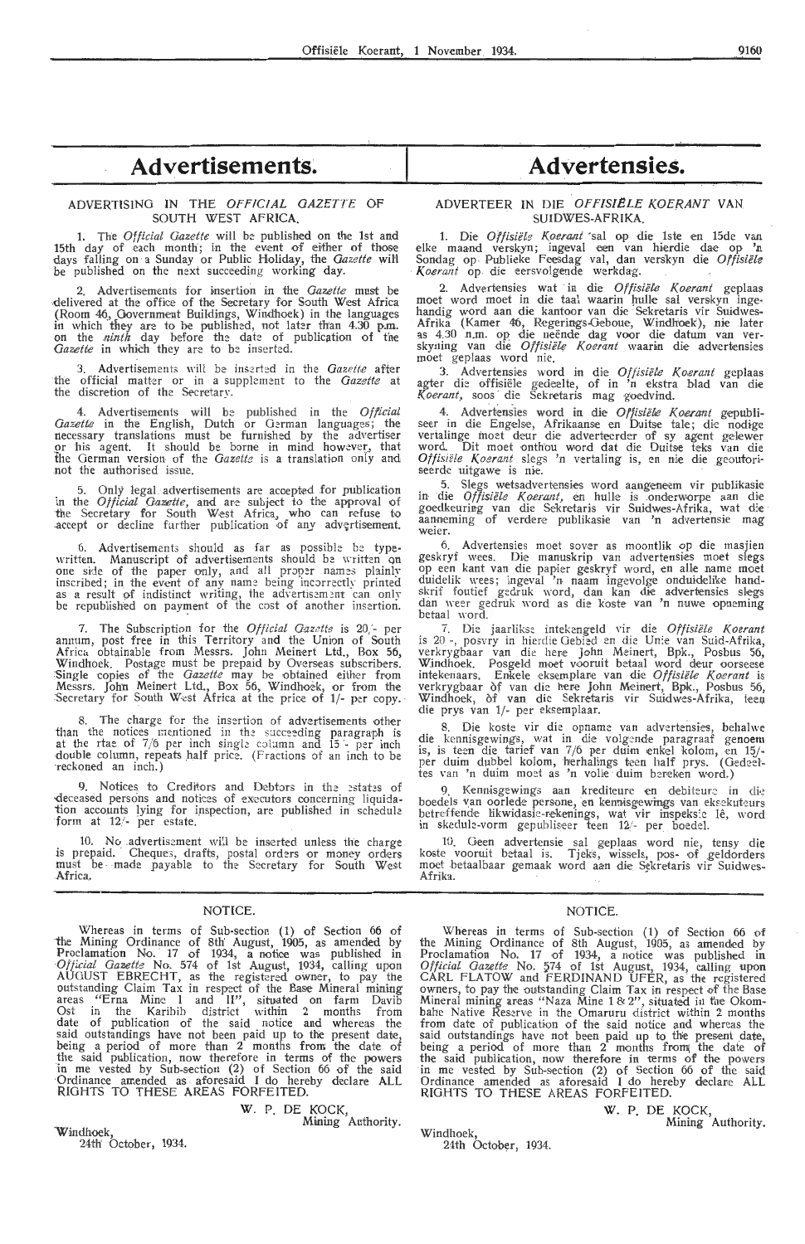### ADVERTISING IN THE *OFFICIAL GAZETTE* OF SOUTH WEST AFRICA.

1. The *O fficial Gazette* will be published on the 1st and 15th day of each month; in the event of either of those days falling on a Sunday or Public Holiday, the *Gazette* wiH be published on the next succeeding working day.

2. Advertisements for insertion in the *Gazette* must be **delivered at the office of the Secretary for South West Africa** (Room 46, Government Buildings, Windhoek) in the languages<br>in which they are to be published, not later than 4.30 p.m. on the *ninth* day before the date of publication of the *Gazette* in which they are to be inserted.

3. Advertisements will be inserted in the *Gazette* after the official matter or in a supplement to the *Gazette* at the discretion of the Secretary.

4. Advertisements will be published in the *Official Gazette* in the English, Dutch or German languages; necessary translations must be furnished by the advertiser *gr* his agent. It should be borne in mind however, that the German version of the *Gazette* is a translation only and not the authorised issue.

Only legal advertisements are accepted for publication in the *Official Gazette*, and are subject to the approval of the Secretary for South West Africa, who can refuse to accept or decline further publication of any advertisement.

6. Advertisements should as far as possible be type- written. Manuscript of advertisements should be written on one side of the paper only, and all proper names plainly inscribed; in the event of any name being incorrectly printed as a result of indistinct writing, the advertisement can only be republished on payment of the cost of another insertion.

7. The Subscription for the *Official Gazette* is 20,'- per annum, post free in this Territory and the Union of South Africa. obtainable from Messrs. John Meinert Ltd., Box 56, Windhoek. Postage must be prepaid by Overseas subscribers.<br>:Single copies of the *Gazette* may be obtained either from Messrs. John Meinert Ltd., Box 56, Windhoek, or from the<br>Secretary for South West Africa at the price of 1/- per copy.

8. The charge for the insertion of advertisements other than the notices mentioned in the succeeding paragraph is at the rtae of  $7/6$  per inch single column and  $15 -$  per inch double column, repeats half price. (Fractions of an inch to be reckoned an inch.)

9. Notices to Creditors and Debtors in the estates of deceased persons and notices of executors concerning liquidation accounts lying for inspection, are published in schedule form at  $12$  - per estate.

10. No advertisement will be inserted unless the charge is prepaid. Cheques, drafts, postal orders or money orders must be made payable to the Secretary for South West Africa.

### **NOTICE**

Whereas in terms of Sub-section (1) of Section 66 of the Mining Ordinance of 8th August, 1905, as amended by Proclamation No. 17 of 1934, a notice was published in *Official Gazette* No. 574 of 1st August, 1934, calling upon AUGUST EBRECHT, as the registered owner, to pay the outstanding Claim Tax in respect of the Base Mineral mining areas "Erna Mine I and II", situated on farm Davib Ost in the Karibib district within 2 months from date of publication of the said notice and whereas the said outstandings have not been paid up to the present date, being a period of more than 2 months from the date of the said publication, now therefore in terms of the powers in me vested by Sub-section (2) of Section 66 of the said ·Ordinance amended as aforesaid I do hereby declare ALL RIGHTS TO THESE AREAS FORFEITED.

W. P. DE KOCK,<br>Mining Authority Windhoek, Mining Authority.

24tli October, 1934.

# **Advertisements. Advertensies.**

### ADVERTEER IN DIE *OFFISIËLE KOERANT* VAN SUIDWES-AFRIKA.

1. Die *Offisiële Koerant sal op die 1ste en 15de van elke maand verskyn*; ingeval een van hierdie dae op 'n Sondag op Publieke Feesdag val, dan verskyn die Offisiële Koerant op die eersvolgende werkdag.

2. Advertensies wat in die Offisiële Koerant geplaas moet word moet in die taal waarin hulle sal verskyn ingehandig word aan die kantoor van die Sekretaris vir Suidwes-Afrika (Kamer 46, Regerings-Geboue, Windhoek), nie later<br>as 4.30 n.m. op die neënde dag voor die datum van verskyning van die Offisiële Koerant waarin die advertensies moet geplaas word nie.

3. Advertensies word in die *Offisiële Koerant* geplaas agter die offisiële gedeelte, of in 'n ekstra blad van die *Koerant*, soos die Sekretaris mag goedvind. Koerant, soos die Sekretaris mag goedvind.

4. Advertensies word in die Offisiële Koerant gepubli-<br>seer in die Engelse, Afrikaanse en Duitse tale; die nodige vertalinge moet deur die adverteerder of sy agent gelewer word. Dit moet onthou word dat die Duitse teks van die Offisiële Koerant slegs 'n vertaling is, en nie die geoutoriseerde uitgawe is nie.

5. Slegs wetsadvertensies word aangeneem vir publikasie in die Offisiële Koerant, en hulle is onderworpe aan die goedkeuring van die Sekretaris vir Suidwes-Afrika, wat die<br>aanneming of verdere publikasie van 'n advertensie mag weier.

6. Advertensies moet sover as moontlik op die masjien geskryf wees. Die manuskrip van advertensies moet slegs<br>op een kant van die papier geskryf word, en alle name moet duidelik wees; ingeval 'n naam ingevolge onduidelike hand-<br>skrif foutief gedruk word, dan kan die advertensies slegs dan weer gedruk word as die koste van 'n nuwe opneming betaal word.

7. Die jaarlikse intekengeld vir die Offisiële Koerant is 20 -, posvry in hierdie Gebied en die Unie van Suid-Afrika, verkrygbaar van die here John Meinert, Bpk., Posbus 56, Windhoek. Posgeld moet vooruit betaal word deur oorseese intekenaars. Enkele eksemplare van die *Offisiële Koerant* is verkrygbaar of van die here John Meinert, Bpk., Posbus 56, Windhoek, of van die Sekretaris vir Suidwes-Afrika, teen die prys van 1/- per eksemplaar.

8. Die koste vir die opname van advertensies, behalwe die kennisgewings, wat in die volgende paragraaf genoem is, is teen die tarief van 7/6 per duim enkel kolom, en 15/-<br>*per duim dubbel kolom*, herhalings teen half prys. (Gedeel-<br>tes van 'n duim moet as 'n volle duim bereken word.)

8. Kennisgewings aan krediteure en debiteure in diboedels van oorlede persone, en kennisgewings van eksekuteurs betreffende Hkwidasie-rekenings, wat vir inspeksie lê, word in skedule-vorm gepubliseer teen 12/- per boedel.

10. Geen advertensie sal geplaas word nie, tensy die koste vooruit betaal is. Tjeks, wissels, pos- of geldorders moet betaalbaar gemaak word aan die Sekretaris vir Suidwes-Afrika.

### NOTICE.

Whereas in terms of Sub-section (1) of Section 66 of the Mining Ordinance of 8th August,  $1905$ , as amended by Proclamation No. 17 of 1934, a notice was published in *Official Gazette* No. 574 of 1st August, 1934, calling upon CARL FLATOW and FERDINAND UFER, as the registered owners, to pay the outstanding Claim Tax in respect of the Base Mineral mining areas "Naza Mine 1 & 2", situated in the Okombahe Native Reserve in the Omaruru district within 2 months from date of publication of the said notice and whereas the said outstandings have not been paid up to the present date, being a period of more than  $2$  months from the date of the said publication, now therefore in terms of the powers in me vested by Sub-section (2) of Section 66 of the said Ordinance amended as aforesaid I do hereby declare ALL RIGHTS TO THESE AREAS FORFEITED.

W. P. DE KOCK,

Mining Authority.

Windhoek,

24th October, 1934.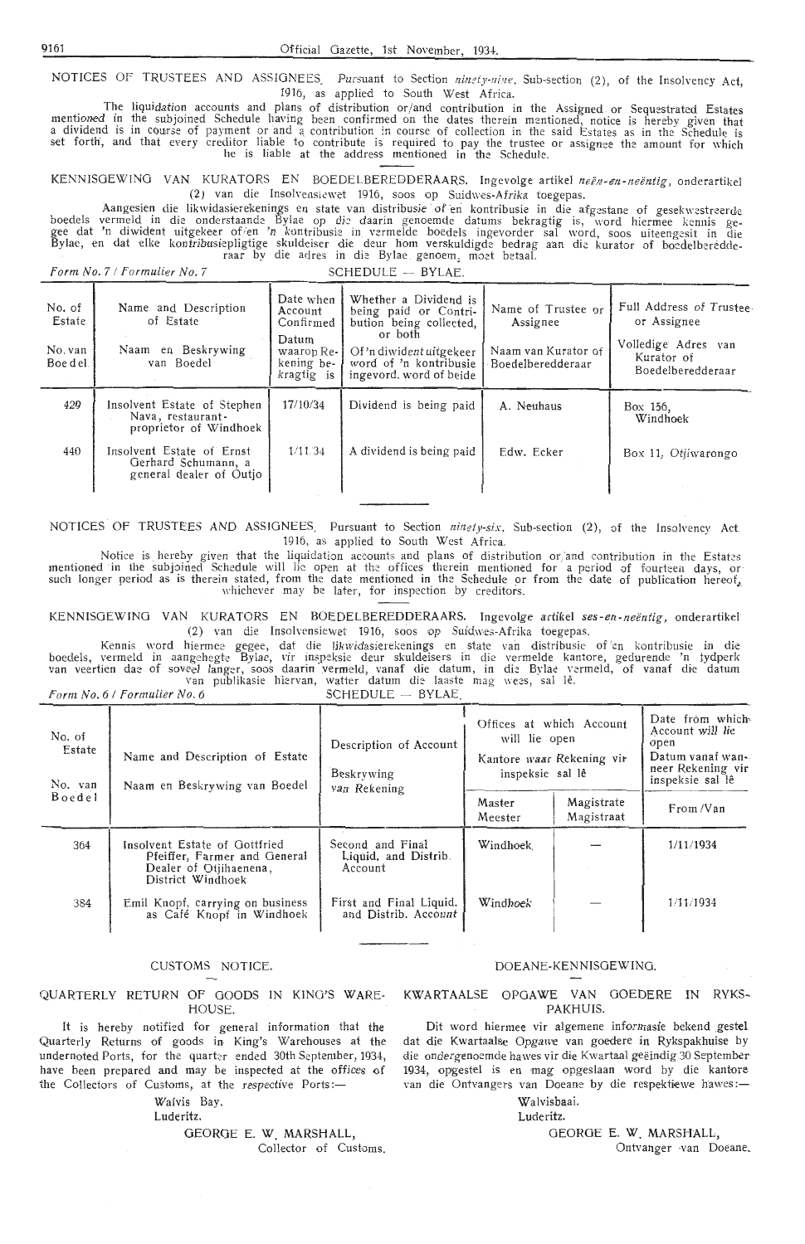NOTICES OF TRUSTEES AND ASSIGNEES. Pursuant to Section *ningty-nine*, Sub-section (2), of the Insolvency Act,<br>1916, as applied to South West Africa. 1916, as applied to South West Africa.

The liquidation accounts and plans of distribution or/and contribution in the Assigned or Sequestrated Estates mentioned in the subjoined Schedule having been confirmed on the dates therein mentioned, notice is hereby given that a dividend is in course of payment or and a contribution in course of collection in the said Estates as in the Schedule is set forth', and that every creditor liable to contribute is required to pay the trustee or assignee the amount for which he is liable at the address mentioned in the Schedule.

KENNISGEWING VAN KURATORS EN BOEDELBEREDDERAARS. Ingevolge artikel *neen-en- neentig,* onderartikel (2) van die Insolvensiewet 1916, soos op Suidwes-Afrika toegepas.

Aangesien die likwidasierekenings en state van distribusie of en kontribusie in die afgestane of gesekwestreerde boedels vermeld in die onderstaande Bylae op die daarin genoemde datums bekragtig is, word hiermee kennis ge-<br>gee dat 'n diwident uitgekeer of en 'n kontribusie in vermelde boedels ingevorder sal word, soos uiteengesit in Bylae, en dat elke kontribusiepligtige skuldeiser die deur hom verskuldigde bedrag aan die kurator of boedelberedderaar by die adres in die Bylae genoem<sub>s</sub> moet betaal.

*Form No. 7 / Formulier No. 7* SCHEDULE - BYLAE.

| No. of<br>Estate<br>No. van<br>Boe del. | Name and Description<br>of Estate<br>en Beskrywing<br>Naam<br>van Boedel    | Date when<br>Account<br>Confirmed<br>Datum<br>waarop Re-<br>kening be-<br>kragtig is | Whether a Dividend is<br>being paid or Contri-<br>bution being collected,<br>or both<br>Of 'n diwident uitgekeer<br>word of 'n kontribusie<br>ingevord, word of beide | Name of Trustee or<br>Assignee<br>Naam van Kurator of<br>Boedelberedderaar | Full Address of Trustee<br>or Assignee<br>Volledige Adres van<br>Kurator of<br>Boedelberedderaar |
|-----------------------------------------|-----------------------------------------------------------------------------|--------------------------------------------------------------------------------------|-----------------------------------------------------------------------------------------------------------------------------------------------------------------------|----------------------------------------------------------------------------|--------------------------------------------------------------------------------------------------|
| 429                                     | Insolvent Estate of Stephen<br>Nava, restaurant-<br>proprietor of Windhoek  | 17/10/34                                                                             | Dividend is being paid                                                                                                                                                | A. Neuhaus                                                                 | Box 156,<br>Windhoek                                                                             |
| 440                                     | Insolvent Estate of Ernst<br>Gerhard Schumann, a<br>general dealer of Outjo | 1/11/34                                                                              | A dividend is being paid                                                                                                                                              | Edw. Ecker                                                                 | Box 11, Otiiwarongo                                                                              |

NOTICES OF TRUSTEES AND ASSIGNEES Pursuant *to* Section *ninety-six,* Sub-section (2), of the Insolvency Act. 1916, as applied to South West Africa.

Notice is hereby given that the liquidation accounts and plans of distribution or,'and contribution in the Estates mentioned in the subjoined Schedule will lie open at the offices therein mentioned for a period of fourteen days, or such longer period as is therein stated, from the date mentioned in the Schedule or from the date of publication hereof<sub>a</sub> whichever may be later, for inspection by creditors.

KENNISGEWING VAN KURATORS EN BOEDELBEREDDERAARS. Ingevolge artikel *ses-en-neentig ,* onderartikel (2) van die Insolvensiewet 1916, soos op Suidwes-Afrika toegepas.

Kennis word hiermee gegee, dat die likwidasierekenings en state van distribusie of en kontribusie in die boedels, vermeld in aangehegte Bylae, vir inspeksie deur skuldeisers in die vermelde kantore, gedurende 'n tydperk van veertien dae of soveel langer, soos daarin vermeld, vanaf die datum, in die Bylae vermeld, of vanaf die datum van publikasie hiervan, watter datum die laaste mag wees, sal lê. *Form No. 6 | Formulier No. 6* 

| $SCHEDULE$ $-$ | BYLAE |  |
|----------------|-------|--|

| No. of<br>Estate<br>No. van | Name and Description of Estate<br>Naam en Beskrywing van Boedel                                              | Description of Account<br>Beskrywing<br>van Rekening | Offices at which Account<br>will lie open<br>Kantore waar Rekening vir<br>inspeksie sal lê |                          | Date from which<br>Account will lie<br>open<br>Datum vanaf wan-<br>neer Rekening vir<br>inspeksie sal lê |
|-----------------------------|--------------------------------------------------------------------------------------------------------------|------------------------------------------------------|--------------------------------------------------------------------------------------------|--------------------------|----------------------------------------------------------------------------------------------------------|
| Boedel                      |                                                                                                              |                                                      | Master<br>Meester                                                                          | Magistrate<br>Magistraat | From/Van                                                                                                 |
| 364                         | Insolvent Estate of Gottfried<br>Pfeiffer, Farmer and General<br>Dealer of Otiihaenena,<br>District Windhoek | Second and Final<br>Liquid, and Distrib.<br>Account  | Windhoek                                                                                   |                          | 1/11/1934                                                                                                |
| 384                         | Emil Knopf, carrying on business<br>as Café Knopf in Windhoek                                                | First and Final Liquid.<br>and Distrib. Account      | Windhoek                                                                                   |                          | 1/11/1934                                                                                                |

### CUSTOMS NOTICE.

QUARTERLY RETURN OF GOODS IN KING'S WARE-HOUSE.

It is hereby notified for general information that the Quarterly Returns of goods in King's Warehouses at the undernoted Ports, for the quarter ended 30th September, 1934, have been prepared and may be inspected at the offices of the Collectors of Customs, at the respective Ports:-

Walvis Bay.

Luderitz.

GEORGE E.W. MARSHALL, Collector of Customs.

### DOEANE-KENNISGEWJNG.

KWARTAALSE OPGAWE VAN GOEDERE IN RYKS-PAKHUIS.

Dit word hiermee vir algemene informasie bekend \_gestel dat die Kwartaalse Opgawe van goedere in Rykspakhuise by die ondergenoemde hawes vir die Kwartaal geëindig 30 September 1934, opgestel is en mag opgeslaan word by die kantore van die Ontvangers van Doeane by die respektiewe hawes :-

### Walvisbaai.

Luderitz.

GEORGE E.W. MARSHALL,

Ontvanger -van Doeane.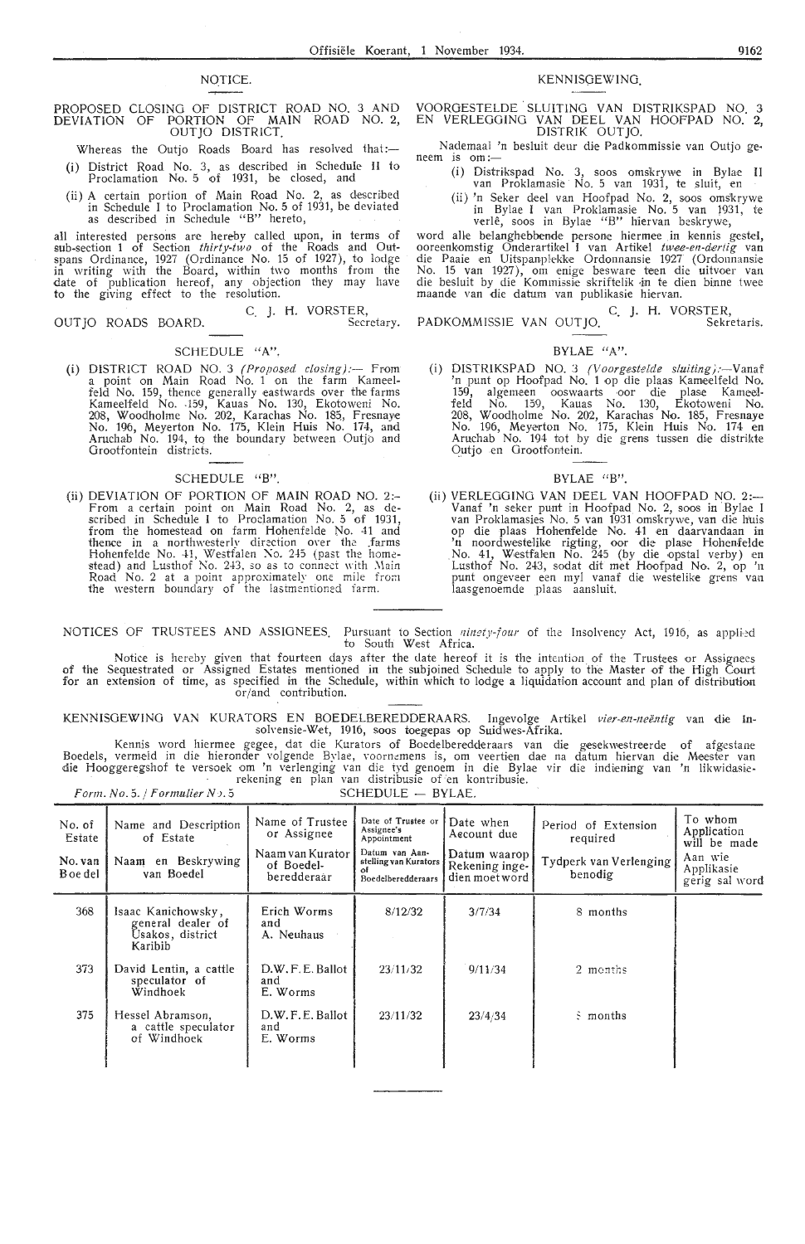### PROPOSED CLOSING OF DISTRICT ROAD NO. 3 AND DEVIATION OF PORTION OF MAIN ROAD NO. 2, OUTJO DISTRICT.

- Whereas the Outjo Roads Board has resolved that:-(i) District Road No. 3, as described in Schedule II to
- Proclamation No. 5 of 1931, be dosed, and (ii) A certain portion of Main Road No. 2, as described
- in Schedule I to Proclamation No. 5 of 1931, be deviated as described in Schedule " B" hereto,

all interested persons are hereby called upon, in terms of sub-section 1 of Section *thirty-two* of the Roads and Outspans Ordinance, 1927 (Ordinance No. 15 of 1927), to lodge **in** writing with the Board, within two months from the date of publication hereof, any objection they may have to the giving effect to the resolution.

OUTJO ROADS BOARD.

### C. J. H. VORSTER, Secretary.

### SCHEDULE **"A".**

(i) DISTRICT ROAD NO. 3 *(Proposed closing)*:-- From a point on Main Road No. 1 on the farm Kameelfeld No. 159, thence generally eastwards over the farms<br>Kameelfeld No. 159, Kauas No. 130, Ekotoweni No.<br>208, Woodholme No. 202, Karachas No. 185, Fresnaye No. 196, Meyerton No. 175, Klein Huis No. 174, and Aruchab No. 194, tq the boundary between Outjo and Grootfontein districts.

### SCHEDULE "B".

(ii) DEVIATION OF PORTION OF MAIN ROAD NO. 2:- From a certain point on Main Road No. 2, as de-<br>scribed in Schedule I to Proclamation No. 5 of 1931, from the homestead on farm Hohenfelde No. 41 and thence in a northwesterly direction over the .farms<br>Hohenfelde No. 41, Westfalen No. 245 (past the home-<br>stead) and Lusthof No. 243, so as to connect with Main Road No. 2 at a point approximately one mile from the western boundary of the lastmentioned farm.

### NOTICE. KENNISGEWING

VOORGESTELDE . SLUITING VAN DISTRIKSPAD NO. 3 EN VERLEOGING VAN DEEL VAN HOOFPAD NO. 2, DISTRIK OUT JO.

Nademaal 'n besluit deur die Padkommissie van Outjo geneem is om:-

- (i) Distrikspad No. 3, soos omskrywe in Bylae II van Proklamasie No. 5 van 1931, te .sluit, en
- (ii) 'n Seker dee! van Hoofpad No. 2, soos oms'krywe in Bylae I van Proklamasie No. 5 van 1931, te<br>verlê, soos in Bylae ''B'' hiervan beskrywe,

word alle belanghebbende persone hiermee in kennis gestel, ooreenkomstig Onderartikel I van Artikel twee-en-dertig van die Paaie en Uitspanplekke Ordonnansie 1927 (Ordonnansie No. 15 van 1927), om enige besware teen die uitvoer van die besluit by die Kommissie skriftelik in te dien binne twee maande van die datum van publikasie hiervan.

C. J. H. VORSTER,<br>Sekretaris. PADKOMMISSIE VAN OUTJO.

### BYLAE "A".

(i) DISTRIKSPAD NO. 3 *(Voorgestelde sluiting):*-Vanaf 'n punt op Hoofpad No. 1 op die plaas Kameelfeld No. 159, algemeen ooswaarts oor die plase Kameelfeld No. 159, Kauas No. 130, Ekotoweni No. 208, Woodholme No. 202, Karachas No. 185, Fresnaye No. 196, Meyerton No. 175, Klein Huis No. 174 en Aruchab No. 194 tot by die grens tussen die distrikte Qutjo en Grootfontein.

### BYLAE "B".

(ii) VERLEGGING VAN DEEL VAN HOOFPAD NO. 2:- Vanaf 'n seker punt in Hoofpad No. 2, soos in Bylae I van Proklamasies No. 5 van 1931 omskrywe, van die huis op die plaas Hohenfelde No. 41 en daarvandaan in<br>'n noordwestelike rigting, oor die plase Hohenfelde No. 41, Westfalen No. 245 (by die opstal verby) en Lusthof No. 243, sodat dit met Hoofpad No. 2, op 'n punt ongeveer een myl vanaf die westelike grens van laasgenoemde plaas aansluit.

NOTICES OF TRUSTEES AND ASSIGNEES. Pursuant to Section ninety-four of the Insolvency Act, 1916, as applied to South West Africa.

of the for an Notice is hereby given that fourteen days after the date hereof it is the intention of the Trustees or Assignees Sequestrated or Assigned Estates mentioned in the subjoined Schedule to apply to the Master of the High Court extension of time, as specified in the Schedule, within which to lodge a liquidation account and plan of distribution or/and contribution.

KENNISGEWING VAN KURATORS EN BOEDELBEREDDERAARS. Ingevolge Artikel *vier-en-neëntig* van die ln-<br>solvensie-Wet, 1916, soos toegepas op Suidwes-Afrika.

Kennis word hiermee gegee, dat die Kurators of Boedelberedderaars van die gesekwestreerde of afgestane Boedels, vermeld in die hieronder volgende Bylae, voornemens is, om veertien dae na datum hiervan die Meester van<br>die Hooggeregshof te versoek om 'n verlenging van die tyd genoem in die Bylae vir die indiening van 'n likwi

|                                         | Form. No. 5. $/$ Formulier $N$ $.5$                                    |                                                                                 | SCHEDULE - BYLAE.                                                                                                      |                                                                              |                                                                      |                                                                                   |
|-----------------------------------------|------------------------------------------------------------------------|---------------------------------------------------------------------------------|------------------------------------------------------------------------------------------------------------------------|------------------------------------------------------------------------------|----------------------------------------------------------------------|-----------------------------------------------------------------------------------|
| No. of<br>Estate<br>No. van<br>B oe del | Name and Description<br>of Estate<br>Naam en Beskrywing<br>van Boedel  | Name of Trustee<br>or Assignee<br>Naam van Kurator<br>of Boedel-<br>beredderaar | Date of Trustee or<br>Assignee's<br>Appointment<br>Datum van Aan-<br>stelling van Kurators<br>Ωf<br>Boedelberedderaars | Date when<br>Aecount due<br>Datum waarop<br>Rekening inge-<br>dien moet word | Period of Extension<br>required<br>Tydperk van Verlenging<br>benodig | To whom<br>Application<br>will be made<br>Aan wie<br>Applikasie<br>gerig sal word |
| 368                                     | Isaac Kanichowsky,<br>general dealer of<br>Usakos, district<br>Karibib | Erich Worms<br>and<br>A. Neuhaus                                                | 8/12/32                                                                                                                | 3/7/34                                                                       | 8 months                                                             |                                                                                   |
| 373                                     | David Lentin, a cattle<br>speculator of<br>Windhoek                    | D.W.F.E. Ballot<br>and<br>E. Worms                                              | 23/11/32                                                                                                               | 9/11/34                                                                      | 2 menths                                                             |                                                                                   |
| 375                                     | Hessel Abramson.<br>a cattle speculator<br>of Windhoek                 | D.W.F.E. Ballot<br>and<br>E. Worms                                              | 23/11/32                                                                                                               | 23/4/34                                                                      | S months                                                             |                                                                                   |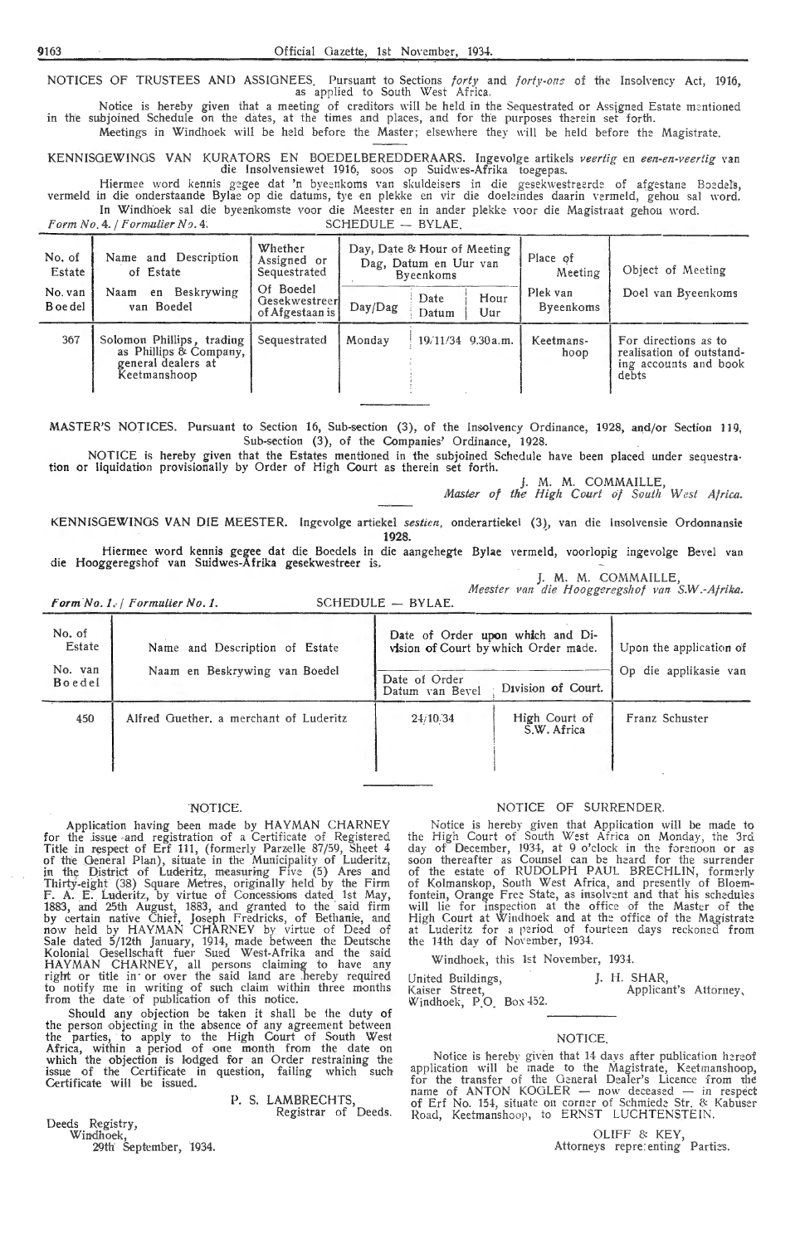NOTICES OF TRUSTEES AND ASSIGNEES. Pursuant to Sections *forty* and *forty-ons* of the Insolvency Act, 1916, as applied to South West Africa.

Notice is hereby given that a meeting of creditors will be held in the Sequestrated or Assigned Estate mentioned in the subjoined Schedule on the dates, at the times and places, and for the purposes therein set forth. Meetings in Windhoek will be held before the Master; elsewhere they will be held before the Magistrate.

KENNISGEWINGS VAN KURATORS EN BOEDELBEREDDERAARS. Ingevolge artikels *veertig* en *een-en-veertig* van die Insolvensiewet 1916, soos op Suidwes-Afrika toegepas.

Hiermee word kennis gegee dat 'n byeenkoms van skuldeisers in die gesekwestreerde of afgestane Boedels, vermeld in die onderstaande Bylae op die datums, tye en plekke en vir die doeleindes daarin vermeld, gehou sal word. In Windhoek sal die byeenkomste voor die Meester en in ander plekke voor die Magistraat gehou word.<br>4. / Formulier No. 4.

*Form No. 4. | Formulier No. 4.* 

| No. of<br>Estate<br>No. van | Name and Description<br>of Estate<br>Beskrywing<br>Naam<br>en                             | Whether<br>Assigned or<br>Sequestrated<br>Of Boedel<br>Gesekwestreer | Day, Date & Hour of Meeting<br>Dag, Datum en Uur van<br>Byeenkoms<br>Hour<br>Date |       | Place of<br>Meeting<br>Plek van | Object of Meeting<br>Doel van Byeenkoms |                                                                                    |
|-----------------------------|-------------------------------------------------------------------------------------------|----------------------------------------------------------------------|-----------------------------------------------------------------------------------|-------|---------------------------------|-----------------------------------------|------------------------------------------------------------------------------------|
| B oe del                    | van Boedel                                                                                | of Afgestaan is                                                      | Day/Dag                                                                           | Datum | Uur                             | <b>Byeenkoms</b>                        |                                                                                    |
| 367                         | Solomon Phillips, trading<br>as Phillips & Company,<br>general dealers at<br>Keetmanshoop | Sequestrated                                                         | Monday                                                                            |       | 19/11/34 9.30 a.m.              | Keetmans-<br>hoop                       | For directions as to<br>realisation of outstand-<br>ing accounts and book<br>debts |

MASTER'S NOJICES. Pursuant to Section 16, Sub-section (3), of the Insolvency Ordinance, 1928, and/or Section 119, Sub-section (3), of the Companies' Ordinance, 1928.

NOTICE is hereby given that the Estates mentioned in the subjoined Schedule have been placed under sequestration or liquidation provisionally by Order of High Court as therein set forth.

J. M. M. COMMAILLE,

*Master of the High Court of South West Africa.* 

KENNJSGEWINGS VAN DIE MEESTER. lngevolge artiekel *sestien,* onderartiekel (3), van die lnsolvensie Ordonnansie **1928.** .

Hiermee word kennis gegee dat die Boedels in die aangehegte Bylae vermeld, voorlopig ingevolge Bevel van die Hooggeregshof van Suidwes-Afrika gesekwestreer is.

J. M. M. COMMAILLE, *,Meester* Fan *die H ooggeregsliof van S.W.-Afrika.* 

*Form No. 1. | Formulier No. 1.* SCHEDULE - BYLAE.

| No. of<br>Estate  | Name and Description of Estate         | Date of Order upon which and Di-<br>vision of Court by which Order made. | Upon the application of      |                       |  |
|-------------------|----------------------------------------|--------------------------------------------------------------------------|------------------------------|-----------------------|--|
| No. van<br>Boedel | Naam en Beskrywing van Boedel          | Date of Order<br>Datum van Beyel                                         | Division of Court.           | Op die applikasie van |  |
| 450               | Alfred Guether, a merchant of Luderitz | 24/10/34                                                                 | High Court of<br>S.W. Africa | Franz Schuster        |  |

### NOTICE.

Application having been made by HAYMAN CHARNEY for the .issue a nd registration of a Certificate of Registered Title in respect of Erf 111, (formerly Parzelle 87/59, Sheet 4 of the General Plan), situate in the Municipality of Luderitz,<br>in the District of Luderitz, measuring Five (5) Ares and Thirty-eight (38) Square Metres, originally held by the Firm<br>F. A. E. Luderitz, by virtue of Concessions dated 1st May, 1883, and 25th August, 1883, and granted to the said firm by certain native Chief, Joseph Fredricks, of Bethanie, and now held by HAYMAN CHARNEY by virtue of Deed of Sale dated 5/12th January, 1914, made between the Deutsche Kolonial Gesellschaft fuer Sued West-Afrika and the said<br>HAYMAN CHARNEY, all persons claiming to have any right or title in or over the said land are hereby required to notify me in writing of such claim within three months from the date of publication of this notice.

Should any objection be taken it shall be the duty of the person objecting in the absence of any agreement between the parties, to apply to the High Court of South West Africa, within a period of one month from the date on which the objection is lodged for an Order restraining the issue of the Certificate in question, failing which such Certificate will be issued.

P. S. LAMBRECHTS, Registrar of Deeds.

Deeds Registry, Windhoek,

29th September, 1934.

### NOTICE OF SURRENDER.

Notice is hereby given that Application will be made to the High Court of South West Africa on Monday, the 3rd. day of December, 1934, at 9 o'clock in the forenoon or as soon thereafter as Counsel can be heard for the surrender of the estate of RUDOLPH PAUL BRECHLIN, formerly of Kolmanskop, South West Africa, and presently of Bloemfontein, Orange Free State, as insolvent and that his schedules will lie for inspection at the office of the Master of the High Court at Windhoek and at the office of the Magistrate at Luderitz for a period of fourteen days reckoned from the 14th day of November, 1934.

Windhoek, this 1st November, 1934.

### J. H. SHAR,

United Buildings, Kaiser Street,  $W$ indhoek, P.O. Box  $452$ . Applicant's Attorney,

### **NOTICE**

Notice is hereby given that 14 days after publication hereof application will be made to the Magistrate, Keetmanshoop, for the transfer of the General Dealer's Licence from the name of ANTON KOGLER  $-$  now deceased  $-$  in respect of Erf No. 154, situate on corner of Schmiede Str. & Kabuser Road, Keetmanshoop, to ERNST LUCHTENSTEIN.

> OLIFF 8: KEY, Attorneys repretenting Parties.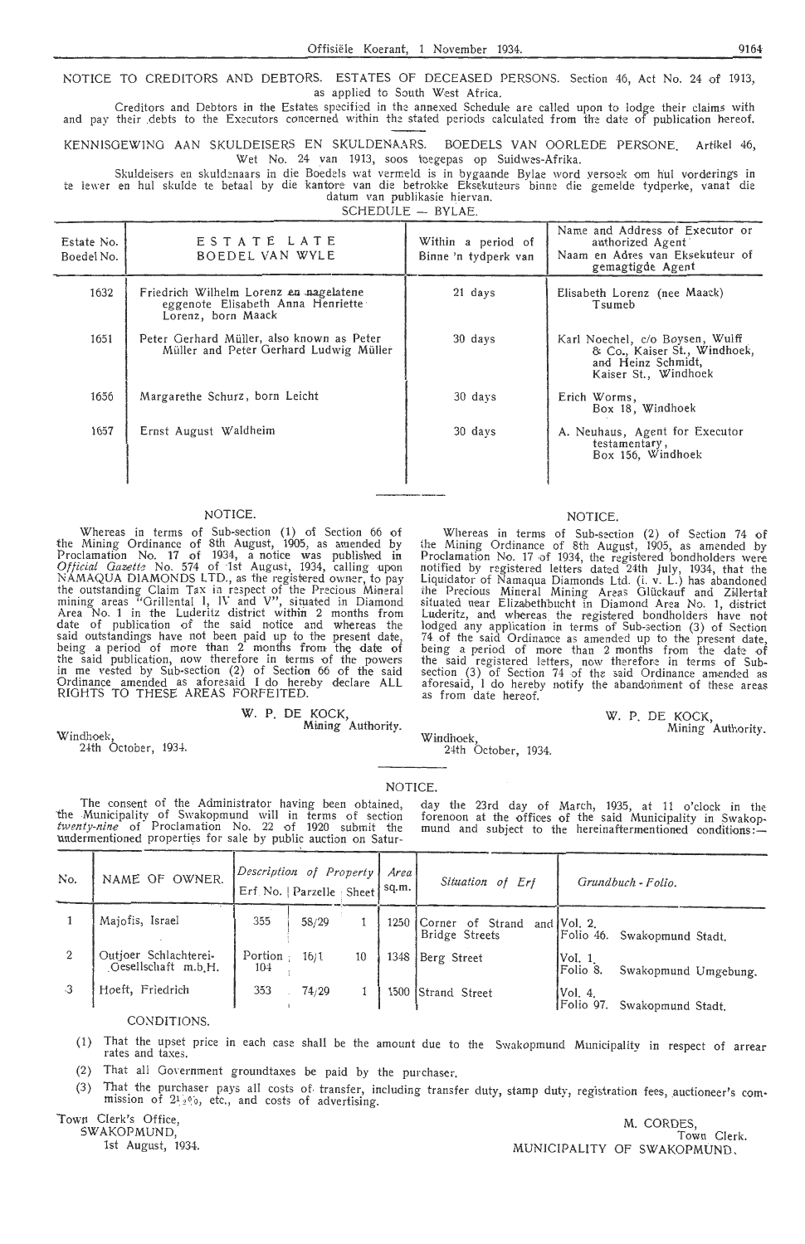NOTICE TO CREDITORS AND DEBTORS. ESTATES OF DECEASED PERSONS. Section 46, Act No. 24 of 1913, as applied to South West Africa.

Creditors and Debtors in the Estates specified in the annexed Schedule are called upon to lodge their claims with and pay their debts to the Executors concerned within the stated periods calculated from the date of publication hereof.

KENNISOEWINO AAN SKULDEISERS EN SKULDENAARS. BOEDELS VAN OORLEDE PERSONE. Artikel 46, Wet No. 24 van 1913, soos toegepas op Suidwes-Afrika.

Skuldeisers en skuldenaars in die Boedels wat vermeld is in bygaande Bylae word versoek om hul vorderings in te lewer en hul skulde te betaal by die kantore van die betrokke Eksekuteurs binne die gemelde tydperke, vanat die<br>datum van publikasie hiervan.

 $SCHEDULE - BYLAE$ 

| Estate No.<br>Boedel No. | ESTATE LATE<br>BOEDEL VAN WYLE                                                                    | Within a period of<br>Binne 'n tydperk van | Name and Address of Executor or<br>authorized Agent<br>Naam en Adres van Eksekuteur of<br>gemagtigde Agent    |
|--------------------------|---------------------------------------------------------------------------------------------------|--------------------------------------------|---------------------------------------------------------------------------------------------------------------|
| 1632                     | Friedrich Wilhelm Lorenz en nagelatene<br>eggenote Elisabeth Anna Henriette<br>Lorenz, born Maack | 21 days                                    | Elisabeth Lorenz (nee Maack)<br>Tsumeb                                                                        |
| 1651                     | Peter Gerhard Müller, also known as Peter<br>Müller and Peter Gerhard Ludwig Müller               | 30 days                                    | Karl Noechel, c/o Boysen, Wulff<br>& Co., Kaiser St., Windhoek,<br>and Heinz Schmidt,<br>Kaiser St., Windhoek |
| 1656                     | Margarethe Schurz, born Leicht                                                                    | 30 days                                    | Erich Worms,<br>Box 18, Windhoek                                                                              |
| 1657                     | Ernst August Waldheim                                                                             | 30 days                                    | A. Neuhaus, Agent for Executor<br>testamentary,<br>Box 156, Windhoek                                          |
|                          |                                                                                                   |                                            |                                                                                                               |

### NOTICE.

Whereas in terms of Sub-section (1) of Section 66 of the Mining Ordinance of 8th August, 1905, as amended by Proclamation No. 17 of 1934, a notice was published in Official Gazette No. 574 of 1st August, 1934, calling upon NAMAQUA DIAMONDS LTD., as the registered owner, to pay the outstanding Claim Tax in respect of the Precious Mineral<br>mining areas "Grillental 1, IV and V", situated in Diamond Area No. 1 in the Luderitz district within 2 months from<br>date of publication of the said notice and whereas the said outstandings have not been paid up to the present date, being a period of more than 2 months from the date of the said publication, now therefore in terms of the powers in me vested by Sub-section (2) of Section 66 of the said Ordinance amended as aforesaid I do hereby declare ALL RIGHTS TO THESE AREAS FORFEITED.

The consent of the Administrator having been obtained, the Municipality of Swakopmund will in terms of section *twenty-nine* of Proclamation No. 22 of 1920 submit the undermentioned properties for sale by public auction on Satur-

### W. P. DE KOCK,

Mining Authority.

### NOTICE.

Whereas in terms of Sub-section (2) of Section 74 of the Mining Ordinance of 8th August, 1905, as amended by Proclamation No. 17 of 1934, the registered bondholders were notified by registered letters dated 24th July, 1934, that the Liquidator of Namaqua Diamonds Ltd. (i. v. L.) has abandoned the Precious Mineral Mining Areas Glückauf and Zillertal<br>situated near Elizabethbucht in Diamond Area No. 1, district Luderitz, and whereas the registered bondholders have not lodged any application in terms of Sub-section (3) of Section 74 of the said Ordinance as amended up to the present date, being a period of more than 2 months from the date of the said registered letters, now therefore in terms of Subsection (3) of Section 74 of the said Ordinance amended as aforesaid, I do hereby notify the abandonment of these areas as from date hereof.

> W. P. DE KOCK, Mining Authority.

24th October, 1934

Windhoek,

### **NOTICE**

Windhoek,

24th October, 1934.

day the 23rd day of March, 1935, at 11 o'clock in the forenoon at the offices of the said Municipality in Swakopmund and subject to the hereinaftermentioned conditions:

| No. | NAME OF<br>OWNER.                            | Description of Property<br>Erf. No.   Parzelle : Sheet |       |    | Area<br>sq.m. | Situation of<br>Erf                | Grundbuch - Folio.                               |  |
|-----|----------------------------------------------|--------------------------------------------------------|-------|----|---------------|------------------------------------|--------------------------------------------------|--|
|     | Majofis, Israel                              | 355                                                    | 58/29 |    | 1250          | Corner of Strand<br>Bridge Streets | and $Vol. 2$ .<br>Folio 46.<br>Swakopmund Stadt. |  |
|     | Outjoer Schlachterei-<br>Gesellschaft m.b.H. | Portion<br>104                                         | 16/1  | 10 | 1348          | Berg Street                        | lVoI. 1<br> Folio 8.<br>Swakopmund Umgebung.     |  |
| .3  | Hoeft, Friedrich                             | 353                                                    | 74/29 |    | 1500          | Strand Street                      | Vol. 4.<br>lFolio 97.<br>Swakopmund Stadt.       |  |

### . CONDIT1ONS.

(1) That the upset price in each case shall be the amount due to the Swakopmund Municipality in respect of arrear rates and taxes.

(2) That all Government groundtaxes be paid by the purchaser

(3) That the purchaser pays all costs of transfer, including transfer duty, stamp duty, registration fees, auctioneer's com<br>mission of 2<sup>1</sup> <sup>2</sup>° *2*° *x* etc., and costs of advertising.

Town Clerk's Office,

SWAKOPMUND

1st August, 1934.

M. CORDES Town Clerk. MUNICIPALITY OF SWAKOPMUND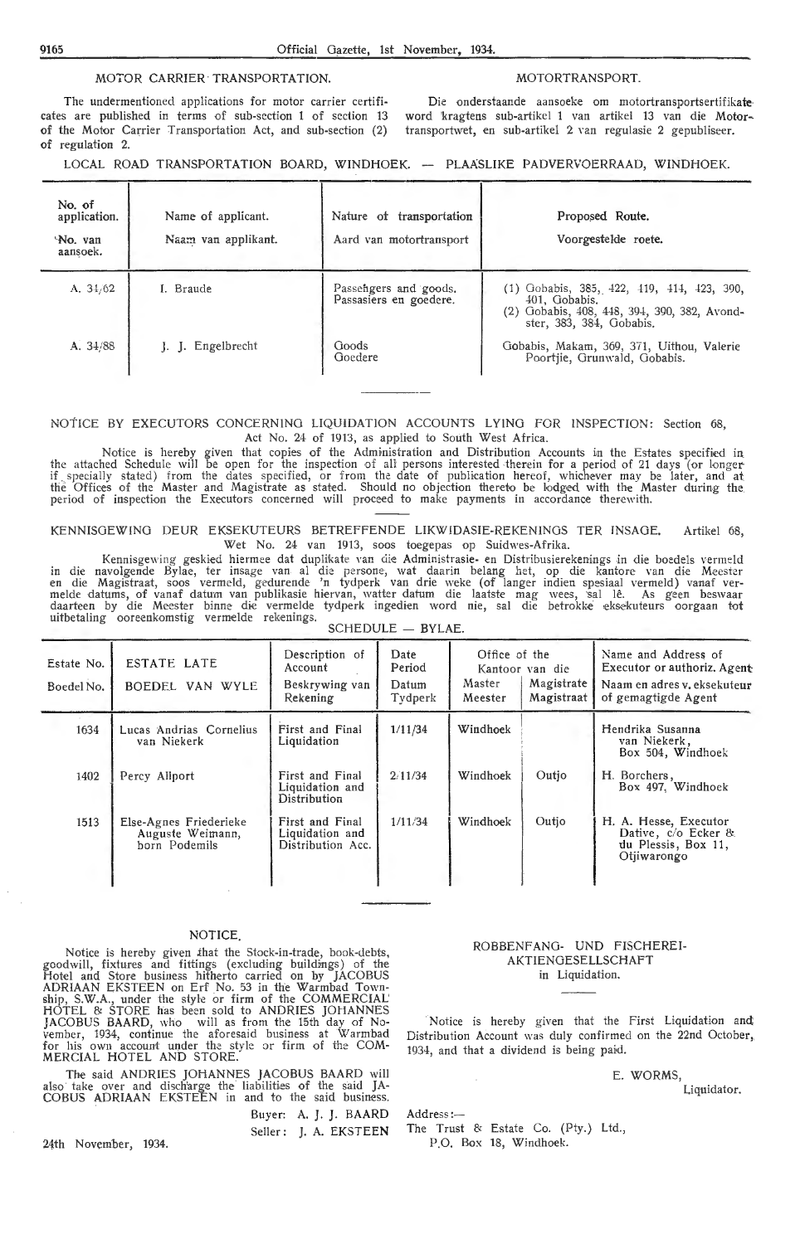### MOTOR CARRIER TRANSPORTATION. MOTOR MOTORTRANSPORT.

The undermentioned applications for motor carrier certificates are published in terms of sub-section 1 of section 13 of the Motor Carrier Transportation Act, and sub-section (2) of regulation 2.

Die onderstaande aansoeke om motortransportsertifikate• word 'kragtens sub-artikel 1 van artikel 13 van die Motor~ transportwet, en sub-artikel 2 Yan regulasie 2 gepubliseer.

LOCAL ROAD TRANSPORTATION BOARD, WINDHOEK. -- PLAASLIKE PADVERVOERRAAD, WINDHOEK.

| No. of<br>application.<br>No. van<br>aansoek. | Name of applicant.<br>Naam van applikant. | Nature of transportation<br>Aard van motortransport | Proposed Route.<br>Voorgestelde roete.                                                                                               |
|-----------------------------------------------|-------------------------------------------|-----------------------------------------------------|--------------------------------------------------------------------------------------------------------------------------------------|
| A. $34/62$                                    | I. Braude                                 | Passengers and goods.<br>Passasiers en goedere.     | $(1)$ Gobabis, 385, 422, 419, 414, 423, 390,<br>401. Gobabis.<br>(2) Gobabis, 408, 448, 394, 390, 382, Avondster, 383, 384, Gobabis. |
| A. 34/88                                      | J. J. Engelbrecht                         | Goods<br>Goedere                                    | Gobabis, Makam, 369, 371, Uithou, Valerie<br>Poortjie, Grunwald, Gobabis.                                                            |

### NOTICE BY EXECUTORS CONCERNING LIQUIDATION ACCOUNTS LYING FOR INSPECTION: Section 68, Act No. 24 of 1913, as applied to South West Africa.

Notice is hereby given that copies of the Administration and Distribution Accounts in the Estates specified in the attached Schedule will be open for the inspection of all persons interested therein for a period of 21 days (or longer if specially stated) from the dates specified, or from the date of publication hereof, whichever may be later, and at the Offices of the Master and Magistrate as stated. Should no objection thereto be lodged with the Master during the<br>period of inspection the Executors concerned will proceed to make payments in accordance therewith.

KENNISGEWING DEUR EKSEKUTEURS BETREFFENDE LIKWIDASIE-REKENINGS TER INSAGE. Artikel 68, Wet No. 24 van 1913, soos toegepas op Suidwes-Afrika.

Kennisgewing geskied hiermee dat duplikate van die Administrasie- en Distribusierekenings in die boedels vermeld in die navolgende Bylae, ter insage van al die persone, wat daarin belang het, op die kantore van die Meester<br>en die Magistraat, soos vermeld, gedurende 'n tydperk van drie weke (of langer indien spesiaal vermeld) vanaf ve uitbetaling ooreenkomstig vermelde rekenings. SCHEDULE - BYLAE.

| <b>ESTATE LATE</b><br>Estate No.<br>BOEDEL VAN WYLE<br>Boedel No. |                                                             | Description of<br>Account<br>Beskrywing van<br>Rekening | Date<br>Period<br>Datum<br>Tydperk | Office of the<br>Kantoor van die<br>Magistrate<br>Master<br>Magistraat<br>Meester |       | Name and Address of<br>Executor or authoriz. Agent<br>Naam en adres v. eksekuteur<br>of gemagtigde Agent |  |
|-------------------------------------------------------------------|-------------------------------------------------------------|---------------------------------------------------------|------------------------------------|-----------------------------------------------------------------------------------|-------|----------------------------------------------------------------------------------------------------------|--|
| 1634                                                              | Lucas Andrias Cornelius<br>van Niekerk                      | First and Final<br>Liquidation                          | 1/11/34                            | Windhoek                                                                          |       | Hendrika Susanna<br>van Niekerk,<br>Box 504, Windhoek                                                    |  |
| 1402                                                              | Percy Allport                                               | First and Final<br>Liquidation and<br>Distribution      | 2/11/34                            | Windhoek                                                                          | Outio | H. Borchers,<br>Box 497. Windhoek                                                                        |  |
| 1513                                                              | Else-Agnes Friederieke<br>Auguste Weimann,<br>horn Podemils | First and Final<br>Liquidation and<br>Distribution Acc. | 1/11/34                            | Windhoek                                                                          | Outio | H. A. Hesse, Executor<br>Dative, c/o Ecker &<br>du Plessis, Box 11,<br>Otiiwarongo                       |  |

### NOTICE.

Notice is hereby given that the Stock-in-trade, book-debts, goodwill, fixtures and fittings (excluding buildings) of the Hotel and Store business hitherto carried on by JACOBUS ADRIAAN EKSTEEN on Erf No. 53 in the Warmbad Township, S.W.A., under the style or firm of the COMMERCIAL' HOTEL & STORE has been sold to ANDRIES JOHANNES JACOBUS BAARD, who will as from the 15th day of No-<br>vember, 1934, continue the aforesaid business at Warmbad for his own account under the style or firm of the COM-MERCIAL HOTEL AND STORE:

The said ANDRIES JOHANNES JACOBUS BAARD will also take over and discharge the liabilities of the said JA-COBUS ADRIAAN EKSTEEN in and to the said business.

> Buyer: A. J. J. BAARD Seller: J. A. EKSTEEN

24th November, 1934.

ROBBENFANO- UNO FISCHEREI-AKTIENOESELLSCHAFT in Liquidation.

Notice is hereby given that the First Liquidation and; Distribution Account was duly confirmed on the 22nd October, 1934, and that a dividend is being paid.

### E. WORMS,

Liquidator.

Address:-

The Trust & Estate Co. (Pty,) Ltd., P.O. Box 18, Windhoek.